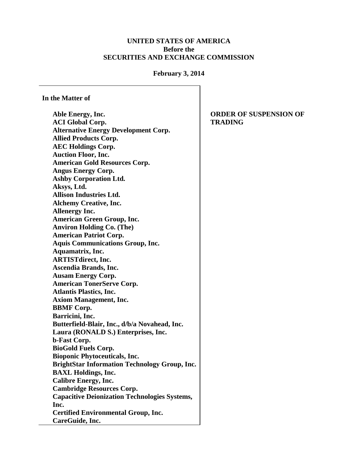## **UNITED STATES OF AMERICA Before the SECURITIES AND EXCHANGE COMMISSION**

## **February 3, 2014**

**In the Matter of**

**Able Energy, Inc. ACI Global Corp. Alternative Energy Development Corp. Allied Products Corp. AEC Holdings Corp. Auction Floor, Inc. American Gold Resources Corp. Angus Energy Corp. Ashby Corporation Ltd. Aksys, Ltd. Allison Industries Ltd. Alchemy Creative, Inc. Allenergy Inc. American Green Group, Inc. Anviron Holding Co. (The) American Patriot Corp. Aquis Communications Group, Inc. Aquamatrix, Inc. ARTISTdirect, Inc. Ascendia Brands, Inc. Ausam Energy Corp. American TonerServe Corp. Atlantis Plastics, Inc. Axiom Management, Inc. BBMF Corp. Barricini, Inc. Butterfield-Blair, Inc., d/b/a Novahead, Inc. Laura (RONALD S.) Enterprises, Inc. b-Fast Corp. BioGold Fuels Corp. Bioponic Phytoceuticals, Inc. BrightStar Information Technology Group, Inc. BAXL Holdings, Inc. Calibre Energy, Inc. Cambridge Resources Corp. Capacitive Deionization Technologies Systems, Inc. Certified Environmental Group, Inc. CareGuide, Inc.**

**ORDER OF SUSPENSION OF TRADING**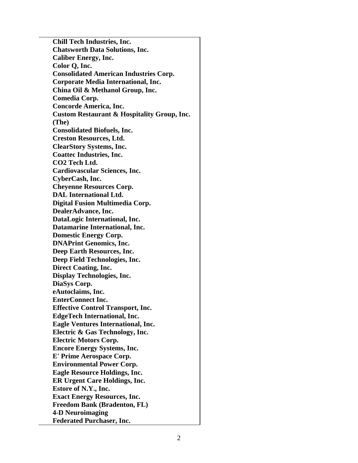**Chill Tech Industries, Inc. Chatsworth Data Solutions, Inc. Caliber Energy, Inc. Color Q, Inc. Consolidated American Industries Corp. Corporate Media International, Inc. China Oil & Methanol Group, Inc. Comedia Corp. Concorde America, Inc. Custom Restaurant & Hospitality Group, Inc. (The) Consolidated Biofuels, Inc. Creston Resources, Ltd. ClearStory Systems, Inc. Coattec Industries, Inc. CO2 Tech Ltd. Cardiovascular Sciences, Inc. CyberCash, Inc. Cheyenne Resources Corp. DAL International Ltd. Digital Fusion Multimedia Corp. DealerAdvance, Inc. DataLogic International, Inc. Datamarine International, Inc. Domestic Energy Corp. DNAPrint Genomics, Inc. Deep Earth Resources, Inc. Deep Field Technologies, Inc. Direct Coating, Inc. Display Technologies, Inc. DiaSys Corp. eAutoclaims, Inc. EnterConnect Inc. Effective Control Transport, Inc. EdgeTech International, Inc. Eagle Ventures International, Inc. Electric & Gas Technology, Inc. Electric Motors Corp. Encore Energy Systems, Inc. E' Prime Aerospace Corp. Environmental Power Corp. Eagle Resource Holdings, Inc. ER Urgent Care Holdings, Inc. Estore of N.Y., Inc. Exact Energy Resources, Inc. Freedom Bank (Bradenton, FL) 4-D Neuroimaging Federated Purchaser, Inc.**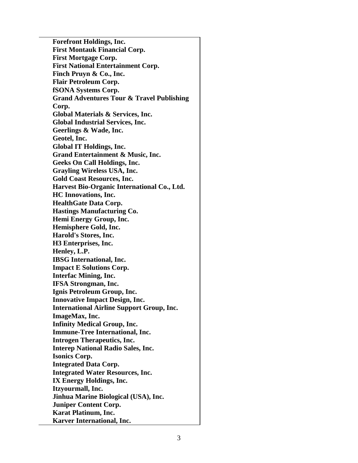**Forefront Holdings, Inc. First Montauk Financial Corp. First Mortgage Corp. First National Entertainment Corp. Finch Pruyn & Co., Inc. Flair Petroleum Corp. fSONA Systems Corp. Grand Adventures Tour & Travel Publishing Corp. Global Materials & Services, Inc. Global Industrial Services, Inc. Geerlings & Wade, Inc. Geotel, Inc. Global IT Holdings, Inc. Grand Entertainment & Music, Inc. Geeks On Call Holdings, Inc. Grayling Wireless USA, Inc. Gold Coast Resources, Inc. Harvest Bio-Organic International Co., Ltd. HC Innovations, Inc. HealthGate Data Corp. Hastings Manufacturing Co. Hemi Energy Group, Inc. Hemisphere Gold, Inc. Harold's Stores, Inc. H3 Enterprises, Inc. Henley, L.P. IBSG International, Inc. Impact E Solutions Corp. Interfac Mining, Inc. IFSA Strongman, Inc. Ignis Petroleum Group, Inc. Innovative Impact Design, Inc. International Airline Support Group, Inc. ImageMax, Inc. Infinity Medical Group, Inc. Immune-Tree International, Inc. Introgen Therapeutics, Inc. Interep National Radio Sales, Inc. Isonics Corp. Integrated Data Corp. Integrated Water Resources, Inc. IX Energy Holdings, Inc. Itzyourmall, Inc. Jinhua Marine Biological (USA), Inc. Juniper Content Corp. Karat Platinum, Inc. Karver International, Inc.**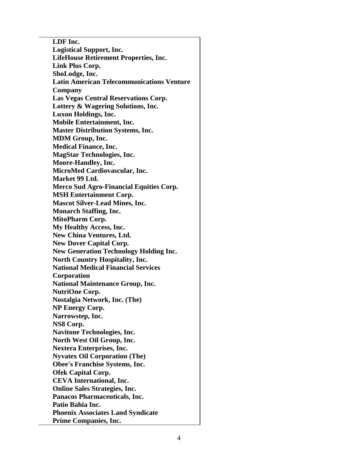**LDF Inc. Logistical Support, Inc. LifeHouse Retirement Properties, Inc. Link Plus Corp. ShoLodge, Inc. Latin American Telecommunications Venture Company Las Vegas Central Reservations Corp. Lottery & Wagering Solutions, Inc. Luxon Holdings, Inc. Mobile Entertainment, Inc. Master Distribution Systems, Inc. MDM Group, Inc. Medical Finance, Inc. MagStar Technologies, Inc. Moore-Handley, Inc. MicroMed Cardiovascular, Inc. Market 99 Ltd. Merco Sud Agro-Financial Equities Corp. MSH Entertainment Corp. Mascot Silver-Lead Mines, Inc. Monarch Staffing, Inc. MitoPharm Corp. My Healthy Access, Inc. New China Ventures, Ltd. New Dover Capital Corp. New Generation Technology Holding Inc. North Country Hospitality, Inc. National Medical Financial Services Corporation National Maintenance Group, Inc. NutriOne Corp. Nostalgia Network, Inc. (The) NP Energy Corp. Narrowstep, Inc. NS8 Corp. Navitone Technologies, Inc. North West Oil Group, Inc. Nextera Enterprises, Inc. Nyvatex Oil Corporation (The) Obee's Franchise Systems, Inc. Ofek Capital Corp. CEVA International, Inc. Online Sales Strategies, Inc. Panacos Pharmaceuticals, Inc. Patio Bahia Inc. Phoenix Associates Land Syndicate Prime Companies, Inc.**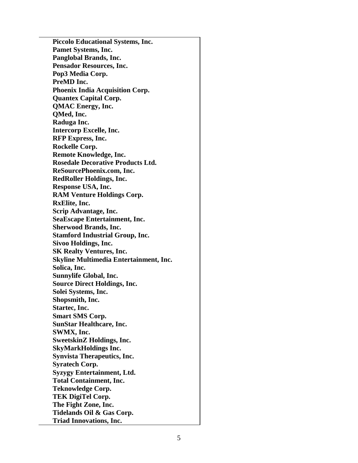**Piccolo Educational Systems, Inc. Pamet Systems, Inc. Panglobal Brands, Inc. Pensador Resources, Inc. Pop3 Media Corp. PreMD Inc. Phoenix India Acquisition Corp. Quantex Capital Corp. QMAC Energy, Inc. QMed, Inc. Raduga Inc. Intercorp Excelle, Inc. RFP Express, Inc. Rockelle Corp. Remote Knowledge, Inc. Rosedale Decorative Products Ltd. ReSourcePhoenix.com, Inc. RedRoller Holdings, Inc. Response USA, Inc. RAM Venture Holdings Corp. RxElite, Inc. Scrip Advantage, Inc. SeaEscape Entertainment, Inc. Sherwood Brands, Inc. Stamford Industrial Group, Inc. Sivoo Holdings, Inc. SK Realty Ventures, Inc. Skyline Multimedia Entertainment, Inc. Solica, Inc. Sunnylife Global, Inc. Source Direct Holdings, Inc. Solei Systems, Inc. Shopsmith, Inc. Startec, Inc. Smart SMS Corp. SunStar Healthcare, Inc. SWMX, Inc. SweetskinZ Holdings, Inc. SkyMarkHoldings Inc. Synvista Therapeutics, Inc. Syratech Corp. Syzygy Entertainment, Ltd. Total Containment, Inc. Teknowledge Corp. TEK DigiTel Corp. The Fight Zone, Inc. Tidelands Oil & Gas Corp. Triad Innovations, Inc.**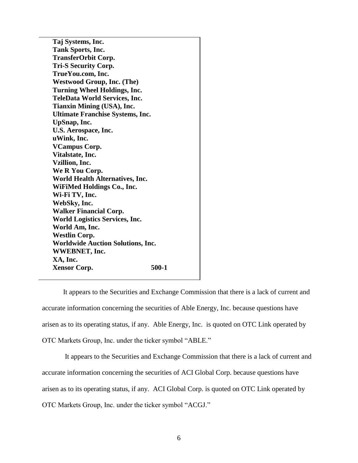**Taj Systems, Inc. Tank Sports, Inc. TransferOrbit Corp. Tri-S Security Corp. TrueYou.com, Inc. Westwood Group, Inc. (The) Turning Wheel Holdings, Inc. TeleData World Services, Inc. Tianxin Mining (USA), Inc. Ultimate Franchise Systems, Inc. UpSnap, Inc. U.S. Aerospace, Inc. uWink, Inc. VCampus Corp. Vitalstate, Inc. Vzillion, Inc. We R You Corp. World Health Alternatives, Inc. WiFiMed Holdings Co., Inc. Wi-Fi TV, Inc. WebSky, Inc. Walker Financial Corp. World Logistics Services, Inc. World Am, Inc. Westlin Corp. Worldwide Auction Solutions, Inc. WWEBNET, Inc. XA, Inc. Xensor Corp.** 500-1

It appears to the Securities and Exchange Commission that there is a lack of current and accurate information concerning the securities of Able Energy, Inc. because questions have arisen as to its operating status, if any. Able Energy, Inc. is quoted on OTC Link operated by OTC Markets Group, Inc. under the ticker symbol "ABLE."

It appears to the Securities and Exchange Commission that there is a lack of current and accurate information concerning the securities of ACI Global Corp. because questions have arisen as to its operating status, if any. ACI Global Corp. is quoted on OTC Link operated by OTC Markets Group, Inc. under the ticker symbol "ACGJ."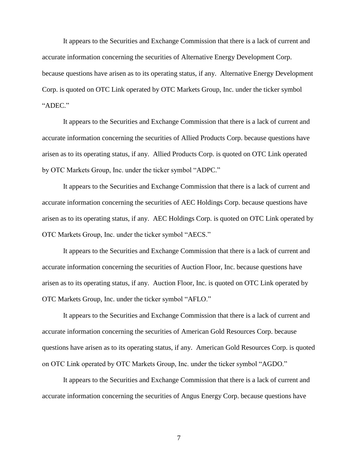It appears to the Securities and Exchange Commission that there is a lack of current and accurate information concerning the securities of Alternative Energy Development Corp. because questions have arisen as to its operating status, if any. Alternative Energy Development Corp. is quoted on OTC Link operated by OTC Markets Group, Inc. under the ticker symbol "ADEC."

It appears to the Securities and Exchange Commission that there is a lack of current and accurate information concerning the securities of Allied Products Corp. because questions have arisen as to its operating status, if any. Allied Products Corp. is quoted on OTC Link operated by OTC Markets Group, Inc. under the ticker symbol "ADPC."

It appears to the Securities and Exchange Commission that there is a lack of current and accurate information concerning the securities of AEC Holdings Corp. because questions have arisen as to its operating status, if any. AEC Holdings Corp. is quoted on OTC Link operated by OTC Markets Group, Inc. under the ticker symbol "AECS."

It appears to the Securities and Exchange Commission that there is a lack of current and accurate information concerning the securities of Auction Floor, Inc. because questions have arisen as to its operating status, if any. Auction Floor, Inc. is quoted on OTC Link operated by OTC Markets Group, Inc. under the ticker symbol "AFLO."

It appears to the Securities and Exchange Commission that there is a lack of current and accurate information concerning the securities of American Gold Resources Corp. because questions have arisen as to its operating status, if any. American Gold Resources Corp. is quoted on OTC Link operated by OTC Markets Group, Inc. under the ticker symbol "AGDO."

It appears to the Securities and Exchange Commission that there is a lack of current and accurate information concerning the securities of Angus Energy Corp. because questions have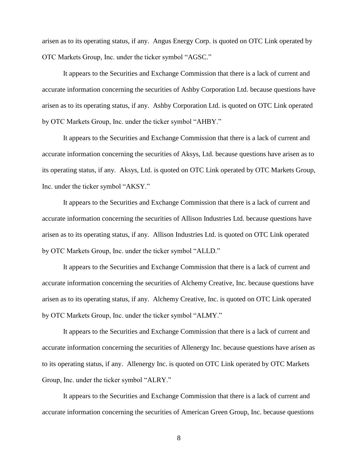arisen as to its operating status, if any. Angus Energy Corp. is quoted on OTC Link operated by OTC Markets Group, Inc. under the ticker symbol "AGSC."

It appears to the Securities and Exchange Commission that there is a lack of current and accurate information concerning the securities of Ashby Corporation Ltd. because questions have arisen as to its operating status, if any. Ashby Corporation Ltd. is quoted on OTC Link operated by OTC Markets Group, Inc. under the ticker symbol "AHBY."

It appears to the Securities and Exchange Commission that there is a lack of current and accurate information concerning the securities of Aksys, Ltd. because questions have arisen as to its operating status, if any. Aksys, Ltd. is quoted on OTC Link operated by OTC Markets Group, Inc. under the ticker symbol "AKSY."

It appears to the Securities and Exchange Commission that there is a lack of current and accurate information concerning the securities of Allison Industries Ltd. because questions have arisen as to its operating status, if any. Allison Industries Ltd. is quoted on OTC Link operated by OTC Markets Group, Inc. under the ticker symbol "ALLD."

It appears to the Securities and Exchange Commission that there is a lack of current and accurate information concerning the securities of Alchemy Creative, Inc. because questions have arisen as to its operating status, if any. Alchemy Creative, Inc. is quoted on OTC Link operated by OTC Markets Group, Inc. under the ticker symbol "ALMY."

It appears to the Securities and Exchange Commission that there is a lack of current and accurate information concerning the securities of Allenergy Inc. because questions have arisen as to its operating status, if any. Allenergy Inc. is quoted on OTC Link operated by OTC Markets Group, Inc. under the ticker symbol "ALRY."

It appears to the Securities and Exchange Commission that there is a lack of current and accurate information concerning the securities of American Green Group, Inc. because questions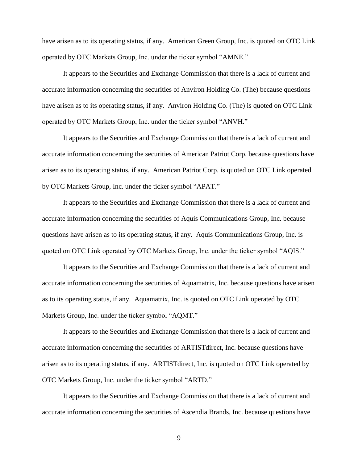have arisen as to its operating status, if any. American Green Group, Inc. is quoted on OTC Link operated by OTC Markets Group, Inc. under the ticker symbol "AMNE."

It appears to the Securities and Exchange Commission that there is a lack of current and accurate information concerning the securities of Anviron Holding Co. (The) because questions have arisen as to its operating status, if any. Anviron Holding Co. (The) is quoted on OTC Link operated by OTC Markets Group, Inc. under the ticker symbol "ANVH."

It appears to the Securities and Exchange Commission that there is a lack of current and accurate information concerning the securities of American Patriot Corp. because questions have arisen as to its operating status, if any. American Patriot Corp. is quoted on OTC Link operated by OTC Markets Group, Inc. under the ticker symbol "APAT."

It appears to the Securities and Exchange Commission that there is a lack of current and accurate information concerning the securities of Aquis Communications Group, Inc. because questions have arisen as to its operating status, if any. Aquis Communications Group, Inc. is quoted on OTC Link operated by OTC Markets Group, Inc. under the ticker symbol "AQIS."

It appears to the Securities and Exchange Commission that there is a lack of current and accurate information concerning the securities of Aquamatrix, Inc. because questions have arisen as to its operating status, if any. Aquamatrix, Inc. is quoted on OTC Link operated by OTC Markets Group, Inc. under the ticker symbol "AQMT."

It appears to the Securities and Exchange Commission that there is a lack of current and accurate information concerning the securities of ARTISTdirect, Inc. because questions have arisen as to its operating status, if any. ARTISTdirect, Inc. is quoted on OTC Link operated by OTC Markets Group, Inc. under the ticker symbol "ARTD."

It appears to the Securities and Exchange Commission that there is a lack of current and accurate information concerning the securities of Ascendia Brands, Inc. because questions have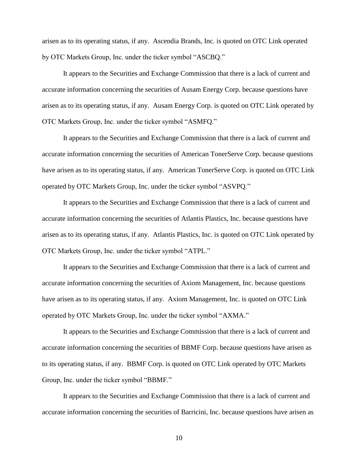arisen as to its operating status, if any. Ascendia Brands, Inc. is quoted on OTC Link operated by OTC Markets Group, Inc. under the ticker symbol "ASCBQ."

It appears to the Securities and Exchange Commission that there is a lack of current and accurate information concerning the securities of Ausam Energy Corp. because questions have arisen as to its operating status, if any. Ausam Energy Corp. is quoted on OTC Link operated by OTC Markets Group, Inc. under the ticker symbol "ASMFQ."

It appears to the Securities and Exchange Commission that there is a lack of current and accurate information concerning the securities of American TonerServe Corp. because questions have arisen as to its operating status, if any. American TonerServe Corp. is quoted on OTC Link operated by OTC Markets Group, Inc. under the ticker symbol "ASVPQ."

It appears to the Securities and Exchange Commission that there is a lack of current and accurate information concerning the securities of Atlantis Plastics, Inc. because questions have arisen as to its operating status, if any. Atlantis Plastics, Inc. is quoted on OTC Link operated by OTC Markets Group, Inc. under the ticker symbol "ATPL."

It appears to the Securities and Exchange Commission that there is a lack of current and accurate information concerning the securities of Axiom Management, Inc. because questions have arisen as to its operating status, if any. Axiom Management, Inc. is quoted on OTC Link operated by OTC Markets Group, Inc. under the ticker symbol "AXMA."

It appears to the Securities and Exchange Commission that there is a lack of current and accurate information concerning the securities of BBMF Corp. because questions have arisen as to its operating status, if any. BBMF Corp. is quoted on OTC Link operated by OTC Markets Group, Inc. under the ticker symbol "BBMF."

It appears to the Securities and Exchange Commission that there is a lack of current and accurate information concerning the securities of Barricini, Inc. because questions have arisen as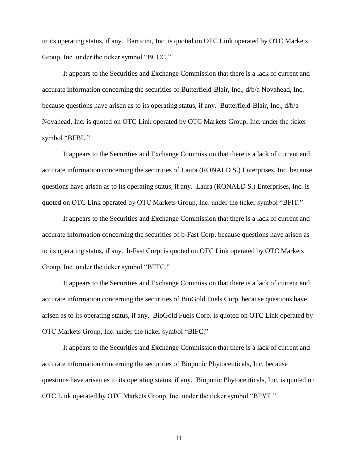to its operating status, if any. Barricini, Inc. is quoted on OTC Link operated by OTC Markets Group, Inc. under the ticker symbol "BCCC."

It appears to the Securities and Exchange Commission that there is a lack of current and accurate information concerning the securities of Butterfield-Blair, Inc., d/b/a Novahead, Inc. because questions have arisen as to its operating status, if any. Butterfield-Blair, Inc., d/b/a Novahead, Inc. is quoted on OTC Link operated by OTC Markets Group, Inc. under the ticker symbol "BFBL."

It appears to the Securities and Exchange Commission that there is a lack of current and accurate information concerning the securities of Laura (RONALD S.) Enterprises, Inc. because questions have arisen as to its operating status, if any. Laura (RONALD S.) Enterprises, Inc. is quoted on OTC Link operated by OTC Markets Group, Inc. under the ticker symbol "BFIT."

It appears to the Securities and Exchange Commission that there is a lack of current and accurate information concerning the securities of b-Fast Corp. because questions have arisen as to its operating status, if any. b-Fast Corp. is quoted on OTC Link operated by OTC Markets Group, Inc. under the ticker symbol "BFTC."

It appears to the Securities and Exchange Commission that there is a lack of current and accurate information concerning the securities of BioGold Fuels Corp. because questions have arisen as to its operating status, if any. BioGold Fuels Corp. is quoted on OTC Link operated by OTC Markets Group, Inc. under the ticker symbol "BIFC."

It appears to the Securities and Exchange Commission that there is a lack of current and accurate information concerning the securities of Bioponic Phytoceuticals, Inc. because questions have arisen as to its operating status, if any. Bioponic Phytoceuticals, Inc. is quoted on OTC Link operated by OTC Markets Group, Inc. under the ticker symbol "BPYT."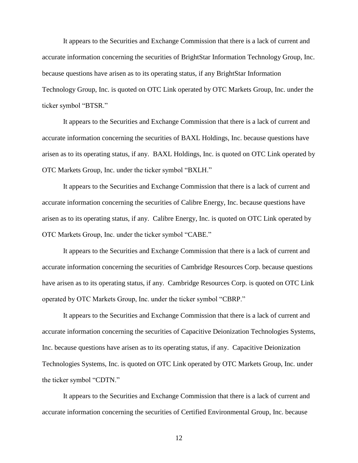It appears to the Securities and Exchange Commission that there is a lack of current and accurate information concerning the securities of BrightStar Information Technology Group, Inc. because questions have arisen as to its operating status, if any BrightStar Information Technology Group, Inc. is quoted on OTC Link operated by OTC Markets Group, Inc. under the ticker symbol "BTSR."

It appears to the Securities and Exchange Commission that there is a lack of current and accurate information concerning the securities of BAXL Holdings, Inc. because questions have arisen as to its operating status, if any. BAXL Holdings, Inc. is quoted on OTC Link operated by OTC Markets Group, Inc. under the ticker symbol "BXLH."

It appears to the Securities and Exchange Commission that there is a lack of current and accurate information concerning the securities of Calibre Energy, Inc. because questions have arisen as to its operating status, if any. Calibre Energy, Inc. is quoted on OTC Link operated by OTC Markets Group, Inc. under the ticker symbol "CABE."

It appears to the Securities and Exchange Commission that there is a lack of current and accurate information concerning the securities of Cambridge Resources Corp. because questions have arisen as to its operating status, if any. Cambridge Resources Corp. is quoted on OTC Link operated by OTC Markets Group, Inc. under the ticker symbol "CBRP."

It appears to the Securities and Exchange Commission that there is a lack of current and accurate information concerning the securities of Capacitive Deionization Technologies Systems, Inc. because questions have arisen as to its operating status, if any. Capacitive Deionization Technologies Systems, Inc. is quoted on OTC Link operated by OTC Markets Group, Inc. under the ticker symbol "CDTN."

It appears to the Securities and Exchange Commission that there is a lack of current and accurate information concerning the securities of Certified Environmental Group, Inc. because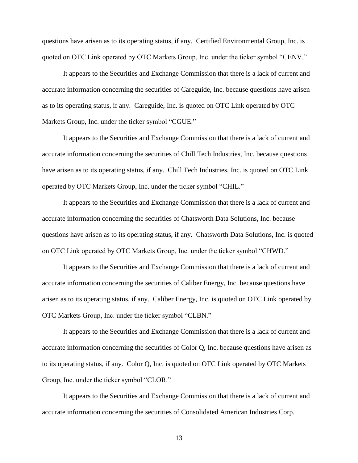questions have arisen as to its operating status, if any. Certified Environmental Group, Inc. is quoted on OTC Link operated by OTC Markets Group, Inc. under the ticker symbol "CENV."

It appears to the Securities and Exchange Commission that there is a lack of current and accurate information concerning the securities of Careguide, Inc. because questions have arisen as to its operating status, if any. Careguide, Inc. is quoted on OTC Link operated by OTC Markets Group, Inc. under the ticker symbol "CGUE."

It appears to the Securities and Exchange Commission that there is a lack of current and accurate information concerning the securities of Chill Tech Industries, Inc. because questions have arisen as to its operating status, if any. Chill Tech Industries, Inc. is quoted on OTC Link operated by OTC Markets Group, Inc. under the ticker symbol "CHIL."

It appears to the Securities and Exchange Commission that there is a lack of current and accurate information concerning the securities of Chatsworth Data Solutions, Inc. because questions have arisen as to its operating status, if any. Chatsworth Data Solutions, Inc. is quoted on OTC Link operated by OTC Markets Group, Inc. under the ticker symbol "CHWD."

It appears to the Securities and Exchange Commission that there is a lack of current and accurate information concerning the securities of Caliber Energy, Inc. because questions have arisen as to its operating status, if any. Caliber Energy, Inc. is quoted on OTC Link operated by OTC Markets Group, Inc. under the ticker symbol "CLBN."

It appears to the Securities and Exchange Commission that there is a lack of current and accurate information concerning the securities of Color Q, Inc. because questions have arisen as to its operating status, if any. Color Q, Inc. is quoted on OTC Link operated by OTC Markets Group, Inc. under the ticker symbol "CLOR."

It appears to the Securities and Exchange Commission that there is a lack of current and accurate information concerning the securities of Consolidated American Industries Corp.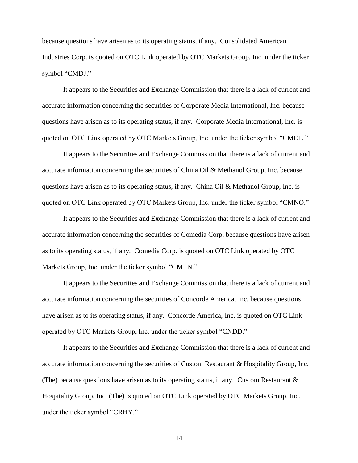because questions have arisen as to its operating status, if any. Consolidated American Industries Corp. is quoted on OTC Link operated by OTC Markets Group, Inc. under the ticker symbol "CMDJ."

It appears to the Securities and Exchange Commission that there is a lack of current and accurate information concerning the securities of Corporate Media International, Inc. because questions have arisen as to its operating status, if any. Corporate Media International, Inc. is quoted on OTC Link operated by OTC Markets Group, Inc. under the ticker symbol "CMDL."

It appears to the Securities and Exchange Commission that there is a lack of current and accurate information concerning the securities of China Oil & Methanol Group, Inc. because questions have arisen as to its operating status, if any. China Oil & Methanol Group, Inc. is quoted on OTC Link operated by OTC Markets Group, Inc. under the ticker symbol "CMNO."

It appears to the Securities and Exchange Commission that there is a lack of current and accurate information concerning the securities of Comedia Corp. because questions have arisen as to its operating status, if any. Comedia Corp. is quoted on OTC Link operated by OTC Markets Group, Inc. under the ticker symbol "CMTN."

It appears to the Securities and Exchange Commission that there is a lack of current and accurate information concerning the securities of Concorde America, Inc. because questions have arisen as to its operating status, if any. Concorde America, Inc. is quoted on OTC Link operated by OTC Markets Group, Inc. under the ticker symbol "CNDD."

It appears to the Securities and Exchange Commission that there is a lack of current and accurate information concerning the securities of Custom Restaurant & Hospitality Group, Inc. (The) because questions have arisen as to its operating status, if any. Custom Restaurant  $\&$ Hospitality Group, Inc. (The) is quoted on OTC Link operated by OTC Markets Group, Inc. under the ticker symbol "CRHY."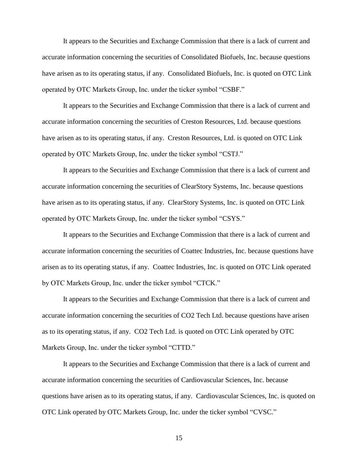It appears to the Securities and Exchange Commission that there is a lack of current and accurate information concerning the securities of Consolidated Biofuels, Inc. because questions have arisen as to its operating status, if any. Consolidated Biofuels, Inc. is quoted on OTC Link operated by OTC Markets Group, Inc. under the ticker symbol "CSBF."

It appears to the Securities and Exchange Commission that there is a lack of current and accurate information concerning the securities of Creston Resources, Ltd. because questions have arisen as to its operating status, if any. Creston Resources, Ltd. is quoted on OTC Link operated by OTC Markets Group, Inc. under the ticker symbol "CSTJ."

It appears to the Securities and Exchange Commission that there is a lack of current and accurate information concerning the securities of ClearStory Systems, Inc. because questions have arisen as to its operating status, if any. ClearStory Systems, Inc. is quoted on OTC Link operated by OTC Markets Group, Inc. under the ticker symbol "CSYS."

It appears to the Securities and Exchange Commission that there is a lack of current and accurate information concerning the securities of Coattec Industries, Inc. because questions have arisen as to its operating status, if any. Coattec Industries, Inc. is quoted on OTC Link operated by OTC Markets Group, Inc. under the ticker symbol "CTCK."

It appears to the Securities and Exchange Commission that there is a lack of current and accurate information concerning the securities of CO2 Tech Ltd. because questions have arisen as to its operating status, if any. CO2 Tech Ltd. is quoted on OTC Link operated by OTC Markets Group, Inc. under the ticker symbol "CTTD."

It appears to the Securities and Exchange Commission that there is a lack of current and accurate information concerning the securities of Cardiovascular Sciences, Inc. because questions have arisen as to its operating status, if any. Cardiovascular Sciences, Inc. is quoted on OTC Link operated by OTC Markets Group, Inc. under the ticker symbol "CVSC."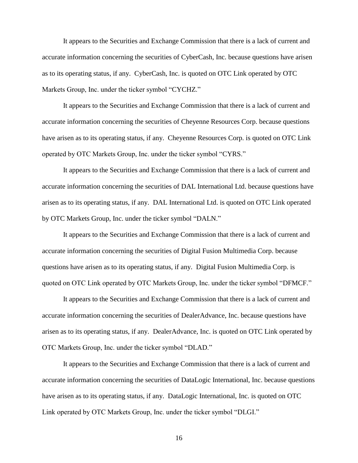It appears to the Securities and Exchange Commission that there is a lack of current and accurate information concerning the securities of CyberCash, Inc. because questions have arisen as to its operating status, if any. CyberCash, Inc. is quoted on OTC Link operated by OTC Markets Group, Inc. under the ticker symbol "CYCHZ."

It appears to the Securities and Exchange Commission that there is a lack of current and accurate information concerning the securities of Cheyenne Resources Corp. because questions have arisen as to its operating status, if any. Cheyenne Resources Corp. is quoted on OTC Link operated by OTC Markets Group, Inc. under the ticker symbol "CYRS."

It appears to the Securities and Exchange Commission that there is a lack of current and accurate information concerning the securities of DAL International Ltd. because questions have arisen as to its operating status, if any. DAL International Ltd. is quoted on OTC Link operated by OTC Markets Group, Inc. under the ticker symbol "DALN."

It appears to the Securities and Exchange Commission that there is a lack of current and accurate information concerning the securities of Digital Fusion Multimedia Corp. because questions have arisen as to its operating status, if any. Digital Fusion Multimedia Corp. is quoted on OTC Link operated by OTC Markets Group, Inc. under the ticker symbol "DFMCF."

It appears to the Securities and Exchange Commission that there is a lack of current and accurate information concerning the securities of DealerAdvance, Inc. because questions have arisen as to its operating status, if any. DealerAdvance, Inc. is quoted on OTC Link operated by OTC Markets Group, Inc. under the ticker symbol "DLAD."

It appears to the Securities and Exchange Commission that there is a lack of current and accurate information concerning the securities of DataLogic International, Inc. because questions have arisen as to its operating status, if any. DataLogic International, Inc. is quoted on OTC Link operated by OTC Markets Group, Inc. under the ticker symbol "DLGI."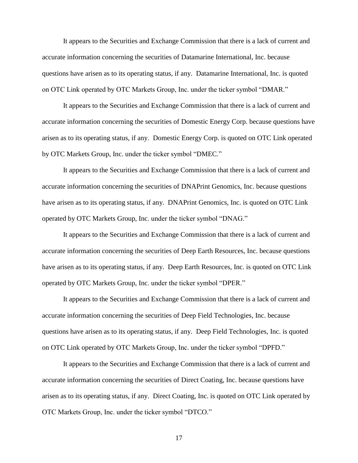It appears to the Securities and Exchange Commission that there is a lack of current and accurate information concerning the securities of Datamarine International, Inc. because questions have arisen as to its operating status, if any. Datamarine International, Inc. is quoted on OTC Link operated by OTC Markets Group, Inc. under the ticker symbol "DMAR."

It appears to the Securities and Exchange Commission that there is a lack of current and accurate information concerning the securities of Domestic Energy Corp. because questions have arisen as to its operating status, if any. Domestic Energy Corp. is quoted on OTC Link operated by OTC Markets Group, Inc. under the ticker symbol "DMEC."

It appears to the Securities and Exchange Commission that there is a lack of current and accurate information concerning the securities of DNAPrint Genomics, Inc. because questions have arisen as to its operating status, if any. DNAPrint Genomics, Inc. is quoted on OTC Link operated by OTC Markets Group, Inc. under the ticker symbol "DNAG."

It appears to the Securities and Exchange Commission that there is a lack of current and accurate information concerning the securities of Deep Earth Resources, Inc. because questions have arisen as to its operating status, if any. Deep Earth Resources, Inc. is quoted on OTC Link operated by OTC Markets Group, Inc. under the ticker symbol "DPER."

It appears to the Securities and Exchange Commission that there is a lack of current and accurate information concerning the securities of Deep Field Technologies, Inc. because questions have arisen as to its operating status, if any. Deep Field Technologies, Inc. is quoted on OTC Link operated by OTC Markets Group, Inc. under the ticker symbol "DPFD."

It appears to the Securities and Exchange Commission that there is a lack of current and accurate information concerning the securities of Direct Coating, Inc. because questions have arisen as to its operating status, if any. Direct Coating, Inc. is quoted on OTC Link operated by OTC Markets Group, Inc. under the ticker symbol "DTCO."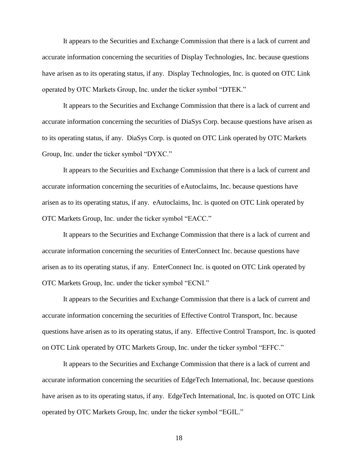It appears to the Securities and Exchange Commission that there is a lack of current and accurate information concerning the securities of Display Technologies, Inc. because questions have arisen as to its operating status, if any. Display Technologies, Inc. is quoted on OTC Link operated by OTC Markets Group, Inc. under the ticker symbol "DTEK."

It appears to the Securities and Exchange Commission that there is a lack of current and accurate information concerning the securities of DiaSys Corp. because questions have arisen as to its operating status, if any. DiaSys Corp. is quoted on OTC Link operated by OTC Markets Group, Inc. under the ticker symbol "DYXC."

It appears to the Securities and Exchange Commission that there is a lack of current and accurate information concerning the securities of eAutoclaims, Inc. because questions have arisen as to its operating status, if any. eAutoclaims, Inc. is quoted on OTC Link operated by OTC Markets Group, Inc. under the ticker symbol "EACC."

It appears to the Securities and Exchange Commission that there is a lack of current and accurate information concerning the securities of EnterConnect Inc. because questions have arisen as to its operating status, if any. EnterConnect Inc. is quoted on OTC Link operated by OTC Markets Group, Inc. under the ticker symbol "ECNI."

It appears to the Securities and Exchange Commission that there is a lack of current and accurate information concerning the securities of Effective Control Transport, Inc. because questions have arisen as to its operating status, if any. Effective Control Transport, Inc. is quoted on OTC Link operated by OTC Markets Group, Inc. under the ticker symbol "EFFC."

It appears to the Securities and Exchange Commission that there is a lack of current and accurate information concerning the securities of EdgeTech International, Inc. because questions have arisen as to its operating status, if any. EdgeTech International, Inc. is quoted on OTC Link operated by OTC Markets Group, Inc. under the ticker symbol "EGIL."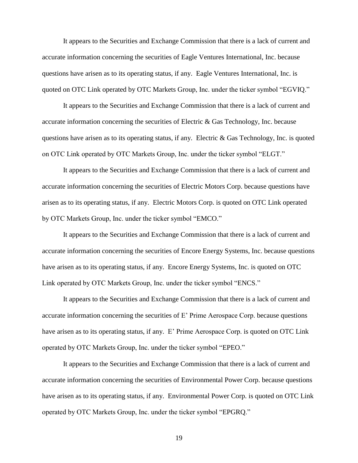It appears to the Securities and Exchange Commission that there is a lack of current and accurate information concerning the securities of Eagle Ventures International, Inc. because questions have arisen as to its operating status, if any. Eagle Ventures International, Inc. is quoted on OTC Link operated by OTC Markets Group, Inc. under the ticker symbol "EGVIQ."

It appears to the Securities and Exchange Commission that there is a lack of current and accurate information concerning the securities of Electric & Gas Technology, Inc. because questions have arisen as to its operating status, if any. Electric & Gas Technology, Inc. is quoted on OTC Link operated by OTC Markets Group, Inc. under the ticker symbol "ELGT."

It appears to the Securities and Exchange Commission that there is a lack of current and accurate information concerning the securities of Electric Motors Corp. because questions have arisen as to its operating status, if any. Electric Motors Corp. is quoted on OTC Link operated by OTC Markets Group, Inc. under the ticker symbol "EMCO."

It appears to the Securities and Exchange Commission that there is a lack of current and accurate information concerning the securities of Encore Energy Systems, Inc. because questions have arisen as to its operating status, if any. Encore Energy Systems, Inc. is quoted on OTC Link operated by OTC Markets Group, Inc. under the ticker symbol "ENCS."

It appears to the Securities and Exchange Commission that there is a lack of current and accurate information concerning the securities of E' Prime Aerospace Corp. because questions have arisen as to its operating status, if any. E' Prime Aerospace Corp. is quoted on OTC Link operated by OTC Markets Group, Inc. under the ticker symbol "EPEO."

It appears to the Securities and Exchange Commission that there is a lack of current and accurate information concerning the securities of Environmental Power Corp. because questions have arisen as to its operating status, if any. Environmental Power Corp. is quoted on OTC Link operated by OTC Markets Group, Inc. under the ticker symbol "EPGRQ."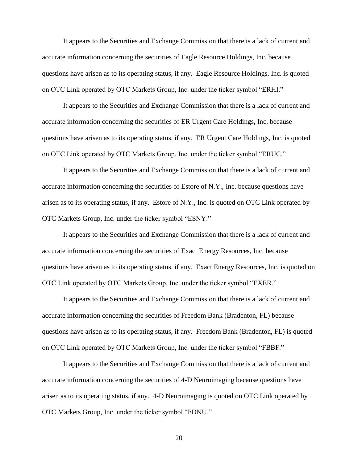It appears to the Securities and Exchange Commission that there is a lack of current and accurate information concerning the securities of Eagle Resource Holdings, Inc. because questions have arisen as to its operating status, if any. Eagle Resource Holdings, Inc. is quoted on OTC Link operated by OTC Markets Group, Inc. under the ticker symbol "ERHI."

It appears to the Securities and Exchange Commission that there is a lack of current and accurate information concerning the securities of ER Urgent Care Holdings, Inc. because questions have arisen as to its operating status, if any. ER Urgent Care Holdings, Inc. is quoted on OTC Link operated by OTC Markets Group, Inc. under the ticker symbol "ERUC."

It appears to the Securities and Exchange Commission that there is a lack of current and accurate information concerning the securities of Estore of N.Y., Inc. because questions have arisen as to its operating status, if any. Estore of N.Y., Inc. is quoted on OTC Link operated by OTC Markets Group, Inc. under the ticker symbol "ESNY."

It appears to the Securities and Exchange Commission that there is a lack of current and accurate information concerning the securities of Exact Energy Resources, Inc. because questions have arisen as to its operating status, if any. Exact Energy Resources, Inc. is quoted on OTC Link operated by OTC Markets Group, Inc. under the ticker symbol "EXER."

It appears to the Securities and Exchange Commission that there is a lack of current and accurate information concerning the securities of Freedom Bank (Bradenton, FL) because questions have arisen as to its operating status, if any. Freedom Bank (Bradenton, FL) is quoted on OTC Link operated by OTC Markets Group, Inc. under the ticker symbol "FBBF."

It appears to the Securities and Exchange Commission that there is a lack of current and accurate information concerning the securities of 4-D Neuroimaging because questions have arisen as to its operating status, if any. 4-D Neuroimaging is quoted on OTC Link operated by OTC Markets Group, Inc. under the ticker symbol "FDNU."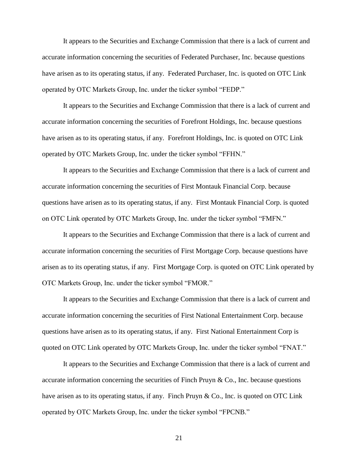It appears to the Securities and Exchange Commission that there is a lack of current and accurate information concerning the securities of Federated Purchaser, Inc. because questions have arisen as to its operating status, if any. Federated Purchaser, Inc. is quoted on OTC Link operated by OTC Markets Group, Inc. under the ticker symbol "FEDP."

It appears to the Securities and Exchange Commission that there is a lack of current and accurate information concerning the securities of Forefront Holdings, Inc. because questions have arisen as to its operating status, if any. Forefront Holdings, Inc. is quoted on OTC Link operated by OTC Markets Group, Inc. under the ticker symbol "FFHN."

It appears to the Securities and Exchange Commission that there is a lack of current and accurate information concerning the securities of First Montauk Financial Corp. because questions have arisen as to its operating status, if any. First Montauk Financial Corp. is quoted on OTC Link operated by OTC Markets Group, Inc. under the ticker symbol "FMFN."

It appears to the Securities and Exchange Commission that there is a lack of current and accurate information concerning the securities of First Mortgage Corp. because questions have arisen as to its operating status, if any. First Mortgage Corp. is quoted on OTC Link operated by OTC Markets Group, Inc. under the ticker symbol "FMOR."

It appears to the Securities and Exchange Commission that there is a lack of current and accurate information concerning the securities of First National Entertainment Corp. because questions have arisen as to its operating status, if any. First National Entertainment Corp is quoted on OTC Link operated by OTC Markets Group, Inc. under the ticker symbol "FNAT."

It appears to the Securities and Exchange Commission that there is a lack of current and accurate information concerning the securities of Finch Pruyn & Co., Inc. because questions have arisen as to its operating status, if any. Finch Pruyn & Co., Inc. is quoted on OTC Link operated by OTC Markets Group, Inc. under the ticker symbol "FPCNB."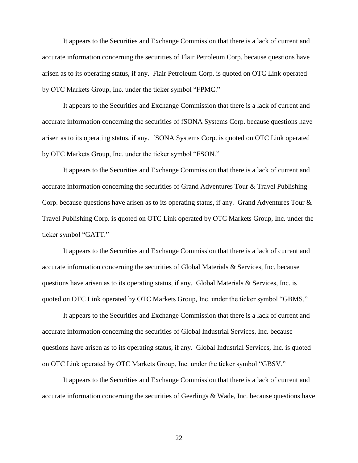It appears to the Securities and Exchange Commission that there is a lack of current and accurate information concerning the securities of Flair Petroleum Corp. because questions have arisen as to its operating status, if any. Flair Petroleum Corp. is quoted on OTC Link operated by OTC Markets Group, Inc. under the ticker symbol "FPMC."

It appears to the Securities and Exchange Commission that there is a lack of current and accurate information concerning the securities of fSONA Systems Corp. because questions have arisen as to its operating status, if any. fSONA Systems Corp. is quoted on OTC Link operated by OTC Markets Group, Inc. under the ticker symbol "FSON."

It appears to the Securities and Exchange Commission that there is a lack of current and accurate information concerning the securities of Grand Adventures Tour & Travel Publishing Corp. because questions have arisen as to its operating status, if any. Grand Adventures Tour & Travel Publishing Corp. is quoted on OTC Link operated by OTC Markets Group, Inc. under the ticker symbol "GATT."

It appears to the Securities and Exchange Commission that there is a lack of current and accurate information concerning the securities of Global Materials & Services, Inc. because questions have arisen as to its operating status, if any. Global Materials  $\&$  Services, Inc. is quoted on OTC Link operated by OTC Markets Group, Inc. under the ticker symbol "GBMS."

It appears to the Securities and Exchange Commission that there is a lack of current and accurate information concerning the securities of Global Industrial Services, Inc. because questions have arisen as to its operating status, if any. Global Industrial Services, Inc. is quoted on OTC Link operated by OTC Markets Group, Inc. under the ticker symbol "GBSV."

It appears to the Securities and Exchange Commission that there is a lack of current and accurate information concerning the securities of Geerlings & Wade, Inc. because questions have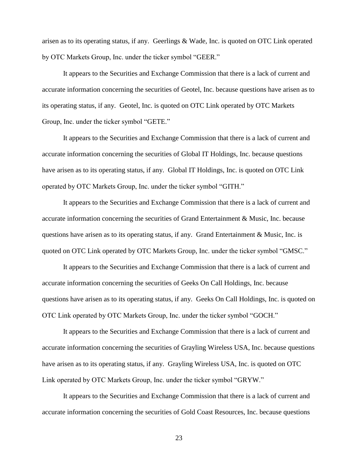arisen as to its operating status, if any. Geerlings & Wade, Inc. is quoted on OTC Link operated by OTC Markets Group, Inc. under the ticker symbol "GEER."

It appears to the Securities and Exchange Commission that there is a lack of current and accurate information concerning the securities of Geotel, Inc. because questions have arisen as to its operating status, if any. Geotel, Inc. is quoted on OTC Link operated by OTC Markets Group, Inc. under the ticker symbol "GETE."

It appears to the Securities and Exchange Commission that there is a lack of current and accurate information concerning the securities of Global IT Holdings, Inc. because questions have arisen as to its operating status, if any. Global IT Holdings, Inc. is quoted on OTC Link operated by OTC Markets Group, Inc. under the ticker symbol "GITH."

It appears to the Securities and Exchange Commission that there is a lack of current and accurate information concerning the securities of Grand Entertainment & Music, Inc. because questions have arisen as to its operating status, if any. Grand Entertainment  $\&$  Music, Inc. is quoted on OTC Link operated by OTC Markets Group, Inc. under the ticker symbol "GMSC."

It appears to the Securities and Exchange Commission that there is a lack of current and accurate information concerning the securities of Geeks On Call Holdings, Inc. because questions have arisen as to its operating status, if any. Geeks On Call Holdings, Inc. is quoted on OTC Link operated by OTC Markets Group, Inc. under the ticker symbol "GOCH."

It appears to the Securities and Exchange Commission that there is a lack of current and accurate information concerning the securities of Grayling Wireless USA, Inc. because questions have arisen as to its operating status, if any. Grayling Wireless USA, Inc. is quoted on OTC Link operated by OTC Markets Group, Inc. under the ticker symbol "GRYW."

It appears to the Securities and Exchange Commission that there is a lack of current and accurate information concerning the securities of Gold Coast Resources, Inc. because questions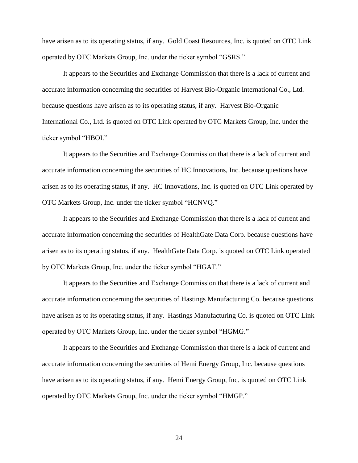have arisen as to its operating status, if any. Gold Coast Resources, Inc. is quoted on OTC Link operated by OTC Markets Group, Inc. under the ticker symbol "GSRS."

It appears to the Securities and Exchange Commission that there is a lack of current and accurate information concerning the securities of Harvest Bio-Organic International Co., Ltd. because questions have arisen as to its operating status, if any. Harvest Bio-Organic International Co., Ltd. is quoted on OTC Link operated by OTC Markets Group, Inc. under the ticker symbol "HBOI."

It appears to the Securities and Exchange Commission that there is a lack of current and accurate information concerning the securities of HC Innovations, Inc. because questions have arisen as to its operating status, if any. HC Innovations, Inc. is quoted on OTC Link operated by OTC Markets Group, Inc. under the ticker symbol "HCNVQ."

It appears to the Securities and Exchange Commission that there is a lack of current and accurate information concerning the securities of HealthGate Data Corp. because questions have arisen as to its operating status, if any. HealthGate Data Corp. is quoted on OTC Link operated by OTC Markets Group, Inc. under the ticker symbol "HGAT."

It appears to the Securities and Exchange Commission that there is a lack of current and accurate information concerning the securities of Hastings Manufacturing Co. because questions have arisen as to its operating status, if any. Hastings Manufacturing Co. is quoted on OTC Link operated by OTC Markets Group, Inc. under the ticker symbol "HGMG."

It appears to the Securities and Exchange Commission that there is a lack of current and accurate information concerning the securities of Hemi Energy Group, Inc. because questions have arisen as to its operating status, if any. Hemi Energy Group, Inc. is quoted on OTC Link operated by OTC Markets Group, Inc. under the ticker symbol "HMGP."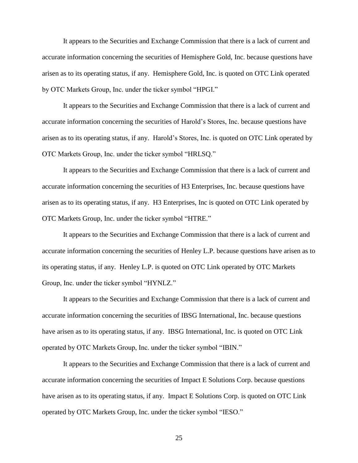It appears to the Securities and Exchange Commission that there is a lack of current and accurate information concerning the securities of Hemisphere Gold, Inc. because questions have arisen as to its operating status, if any. Hemisphere Gold, Inc. is quoted on OTC Link operated by OTC Markets Group, Inc. under the ticker symbol "HPGI."

It appears to the Securities and Exchange Commission that there is a lack of current and accurate information concerning the securities of Harold's Stores, Inc. because questions have arisen as to its operating status, if any. Harold's Stores, Inc. is quoted on OTC Link operated by OTC Markets Group, Inc. under the ticker symbol "HRLSQ."

It appears to the Securities and Exchange Commission that there is a lack of current and accurate information concerning the securities of H3 Enterprises, Inc. because questions have arisen as to its operating status, if any. H3 Enterprises, Inc is quoted on OTC Link operated by OTC Markets Group, Inc. under the ticker symbol "HTRE."

It appears to the Securities and Exchange Commission that there is a lack of current and accurate information concerning the securities of Henley L.P. because questions have arisen as to its operating status, if any. Henley L.P. is quoted on OTC Link operated by OTC Markets Group, Inc. under the ticker symbol "HYNLZ."

It appears to the Securities and Exchange Commission that there is a lack of current and accurate information concerning the securities of IBSG International, Inc. because questions have arisen as to its operating status, if any. IBSG International, Inc. is quoted on OTC Link operated by OTC Markets Group, Inc. under the ticker symbol "IBIN."

It appears to the Securities and Exchange Commission that there is a lack of current and accurate information concerning the securities of Impact E Solutions Corp. because questions have arisen as to its operating status, if any. Impact E Solutions Corp. is quoted on OTC Link operated by OTC Markets Group, Inc. under the ticker symbol "IESO."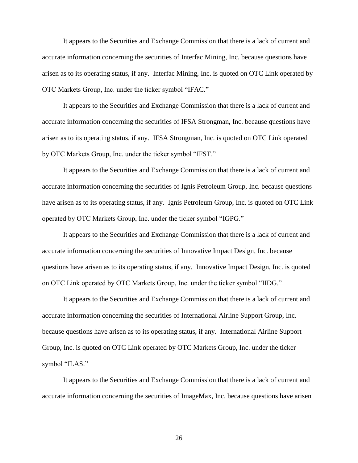It appears to the Securities and Exchange Commission that there is a lack of current and accurate information concerning the securities of Interfac Mining, Inc. because questions have arisen as to its operating status, if any. Interfac Mining, Inc. is quoted on OTC Link operated by OTC Markets Group, Inc. under the ticker symbol "IFAC."

It appears to the Securities and Exchange Commission that there is a lack of current and accurate information concerning the securities of IFSA Strongman, Inc. because questions have arisen as to its operating status, if any. IFSA Strongman, Inc. is quoted on OTC Link operated by OTC Markets Group, Inc. under the ticker symbol "IFST."

It appears to the Securities and Exchange Commission that there is a lack of current and accurate information concerning the securities of Ignis Petroleum Group, Inc. because questions have arisen as to its operating status, if any. Ignis Petroleum Group, Inc. is quoted on OTC Link operated by OTC Markets Group, Inc. under the ticker symbol "IGPG."

It appears to the Securities and Exchange Commission that there is a lack of current and accurate information concerning the securities of Innovative Impact Design, Inc. because questions have arisen as to its operating status, if any. Innovative Impact Design, Inc. is quoted on OTC Link operated by OTC Markets Group, Inc. under the ticker symbol "IIDG."

It appears to the Securities and Exchange Commission that there is a lack of current and accurate information concerning the securities of International Airline Support Group, Inc. because questions have arisen as to its operating status, if any. International Airline Support Group, Inc. is quoted on OTC Link operated by OTC Markets Group, Inc. under the ticker symbol "ILAS."

It appears to the Securities and Exchange Commission that there is a lack of current and accurate information concerning the securities of ImageMax, Inc. because questions have arisen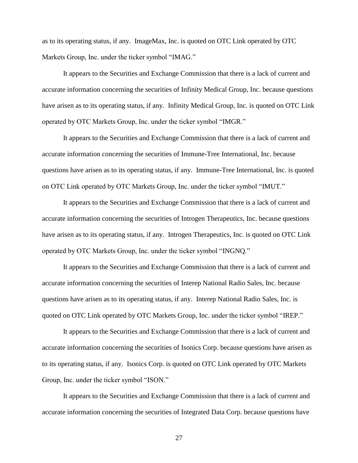as to its operating status, if any. ImageMax, Inc. is quoted on OTC Link operated by OTC Markets Group, Inc. under the ticker symbol "IMAG."

It appears to the Securities and Exchange Commission that there is a lack of current and accurate information concerning the securities of Infinity Medical Group, Inc. because questions have arisen as to its operating status, if any. Infinity Medical Group, Inc. is quoted on OTC Link operated by OTC Markets Group, Inc. under the ticker symbol "IMGR."

It appears to the Securities and Exchange Commission that there is a lack of current and accurate information concerning the securities of Immune-Tree International, Inc. because questions have arisen as to its operating status, if any. Immune-Tree International, Inc. is quoted on OTC Link operated by OTC Markets Group, Inc. under the ticker symbol "IMUT."

It appears to the Securities and Exchange Commission that there is a lack of current and accurate information concerning the securities of Introgen Therapeutics, Inc. because questions have arisen as to its operating status, if any. Introgen Therapeutics, Inc. is quoted on OTC Link operated by OTC Markets Group, Inc. under the ticker symbol "INGNQ."

It appears to the Securities and Exchange Commission that there is a lack of current and accurate information concerning the securities of Interep National Radio Sales, Inc. because questions have arisen as to its operating status, if any. Interep National Radio Sales, Inc. is quoted on OTC Link operated by OTC Markets Group, Inc. under the ticker symbol "IREP."

It appears to the Securities and Exchange Commission that there is a lack of current and accurate information concerning the securities of Isonics Corp. because questions have arisen as to its operating status, if any. Isonics Corp. is quoted on OTC Link operated by OTC Markets Group, Inc. under the ticker symbol "ISON."

It appears to the Securities and Exchange Commission that there is a lack of current and accurate information concerning the securities of Integrated Data Corp. because questions have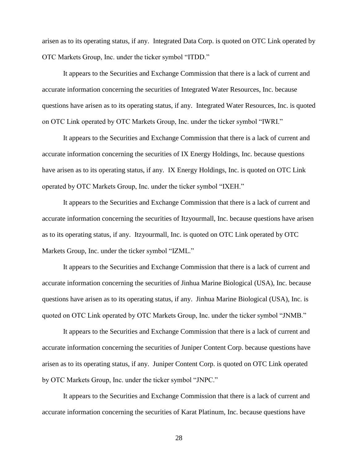arisen as to its operating status, if any. Integrated Data Corp. is quoted on OTC Link operated by OTC Markets Group, Inc. under the ticker symbol "ITDD."

It appears to the Securities and Exchange Commission that there is a lack of current and accurate information concerning the securities of Integrated Water Resources, Inc. because questions have arisen as to its operating status, if any. Integrated Water Resources, Inc. is quoted on OTC Link operated by OTC Markets Group, Inc. under the ticker symbol "IWRI."

It appears to the Securities and Exchange Commission that there is a lack of current and accurate information concerning the securities of IX Energy Holdings, Inc. because questions have arisen as to its operating status, if any. IX Energy Holdings, Inc. is quoted on OTC Link operated by OTC Markets Group, Inc. under the ticker symbol "IXEH."

It appears to the Securities and Exchange Commission that there is a lack of current and accurate information concerning the securities of Itzyourmall, Inc. because questions have arisen as to its operating status, if any. Itzyourmall, Inc. is quoted on OTC Link operated by OTC Markets Group, Inc. under the ticker symbol "IZML."

It appears to the Securities and Exchange Commission that there is a lack of current and accurate information concerning the securities of Jinhua Marine Biological (USA), Inc. because questions have arisen as to its operating status, if any. Jinhua Marine Biological (USA), Inc. is quoted on OTC Link operated by OTC Markets Group, Inc. under the ticker symbol "JNMB."

It appears to the Securities and Exchange Commission that there is a lack of current and accurate information concerning the securities of Juniper Content Corp. because questions have arisen as to its operating status, if any. Juniper Content Corp. is quoted on OTC Link operated by OTC Markets Group, Inc. under the ticker symbol "JNPC."

It appears to the Securities and Exchange Commission that there is a lack of current and accurate information concerning the securities of Karat Platinum, Inc. because questions have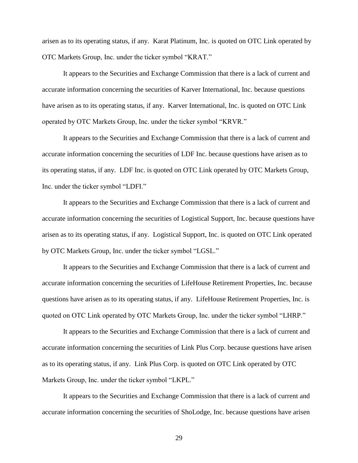arisen as to its operating status, if any. Karat Platinum, Inc. is quoted on OTC Link operated by OTC Markets Group, Inc. under the ticker symbol "KRAT."

It appears to the Securities and Exchange Commission that there is a lack of current and accurate information concerning the securities of Karver International, Inc. because questions have arisen as to its operating status, if any. Karver International, Inc. is quoted on OTC Link operated by OTC Markets Group, Inc. under the ticker symbol "KRVR."

It appears to the Securities and Exchange Commission that there is a lack of current and accurate information concerning the securities of LDF Inc. because questions have arisen as to its operating status, if any. LDF Inc. is quoted on OTC Link operated by OTC Markets Group, Inc. under the ticker symbol "LDFI."

It appears to the Securities and Exchange Commission that there is a lack of current and accurate information concerning the securities of Logistical Support, Inc. because questions have arisen as to its operating status, if any. Logistical Support, Inc. is quoted on OTC Link operated by OTC Markets Group, Inc. under the ticker symbol "LGSL."

It appears to the Securities and Exchange Commission that there is a lack of current and accurate information concerning the securities of LifeHouse Retirement Properties, Inc. because questions have arisen as to its operating status, if any. LifeHouse Retirement Properties, Inc. is quoted on OTC Link operated by OTC Markets Group, Inc. under the ticker symbol "LHRP."

It appears to the Securities and Exchange Commission that there is a lack of current and accurate information concerning the securities of Link Plus Corp. because questions have arisen as to its operating status, if any. Link Plus Corp. is quoted on OTC Link operated by OTC Markets Group, Inc. under the ticker symbol "LKPL."

It appears to the Securities and Exchange Commission that there is a lack of current and accurate information concerning the securities of ShoLodge, Inc. because questions have arisen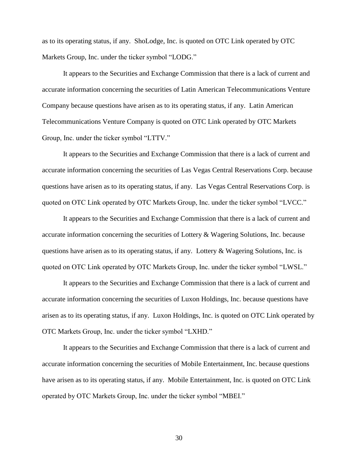as to its operating status, if any. ShoLodge, Inc. is quoted on OTC Link operated by OTC Markets Group, Inc. under the ticker symbol "LODG."

It appears to the Securities and Exchange Commission that there is a lack of current and accurate information concerning the securities of Latin American Telecommunications Venture Company because questions have arisen as to its operating status, if any. Latin American Telecommunications Venture Company is quoted on OTC Link operated by OTC Markets Group, Inc. under the ticker symbol "LTTV."

It appears to the Securities and Exchange Commission that there is a lack of current and accurate information concerning the securities of Las Vegas Central Reservations Corp. because questions have arisen as to its operating status, if any. Las Vegas Central Reservations Corp. is quoted on OTC Link operated by OTC Markets Group, Inc. under the ticker symbol "LVCC."

It appears to the Securities and Exchange Commission that there is a lack of current and accurate information concerning the securities of Lottery & Wagering Solutions, Inc. because questions have arisen as to its operating status, if any. Lottery & Wagering Solutions, Inc. is quoted on OTC Link operated by OTC Markets Group, Inc. under the ticker symbol "LWSL."

It appears to the Securities and Exchange Commission that there is a lack of current and accurate information concerning the securities of Luxon Holdings, Inc. because questions have arisen as to its operating status, if any. Luxon Holdings, Inc. is quoted on OTC Link operated by OTC Markets Group, Inc. under the ticker symbol "LXHD."

It appears to the Securities and Exchange Commission that there is a lack of current and accurate information concerning the securities of Mobile Entertainment, Inc. because questions have arisen as to its operating status, if any. Mobile Entertainment, Inc. is quoted on OTC Link operated by OTC Markets Group, Inc. under the ticker symbol "MBEI."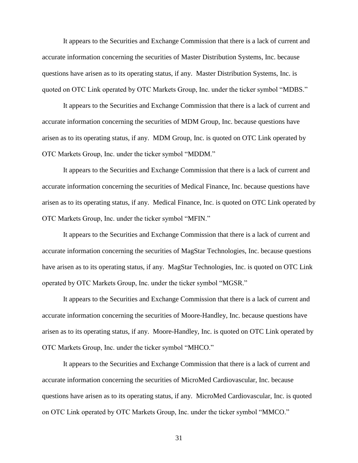It appears to the Securities and Exchange Commission that there is a lack of current and accurate information concerning the securities of Master Distribution Systems, Inc. because questions have arisen as to its operating status, if any. Master Distribution Systems, Inc. is quoted on OTC Link operated by OTC Markets Group, Inc. under the ticker symbol "MDBS."

It appears to the Securities and Exchange Commission that there is a lack of current and accurate information concerning the securities of MDM Group, Inc. because questions have arisen as to its operating status, if any. MDM Group, Inc. is quoted on OTC Link operated by OTC Markets Group, Inc. under the ticker symbol "MDDM."

It appears to the Securities and Exchange Commission that there is a lack of current and accurate information concerning the securities of Medical Finance, Inc. because questions have arisen as to its operating status, if any. Medical Finance, Inc. is quoted on OTC Link operated by OTC Markets Group, Inc. under the ticker symbol "MFIN."

It appears to the Securities and Exchange Commission that there is a lack of current and accurate information concerning the securities of MagStar Technologies, Inc. because questions have arisen as to its operating status, if any. MagStar Technologies, Inc. is quoted on OTC Link operated by OTC Markets Group, Inc. under the ticker symbol "MGSR."

It appears to the Securities and Exchange Commission that there is a lack of current and accurate information concerning the securities of Moore-Handley, Inc. because questions have arisen as to its operating status, if any. Moore-Handley, Inc. is quoted on OTC Link operated by OTC Markets Group, Inc. under the ticker symbol "MHCO."

It appears to the Securities and Exchange Commission that there is a lack of current and accurate information concerning the securities of MicroMed Cardiovascular, Inc. because questions have arisen as to its operating status, if any. MicroMed Cardiovascular, Inc. is quoted on OTC Link operated by OTC Markets Group, Inc. under the ticker symbol "MMCO."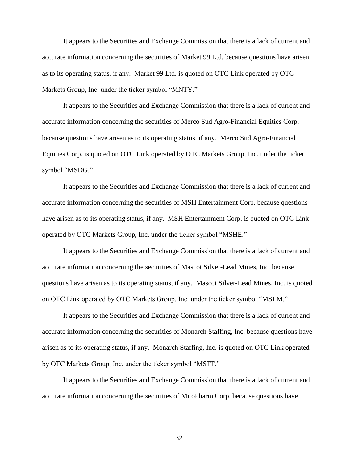It appears to the Securities and Exchange Commission that there is a lack of current and accurate information concerning the securities of Market 99 Ltd. because questions have arisen as to its operating status, if any. Market 99 Ltd. is quoted on OTC Link operated by OTC Markets Group, Inc. under the ticker symbol "MNTY."

It appears to the Securities and Exchange Commission that there is a lack of current and accurate information concerning the securities of Merco Sud Agro-Financial Equities Corp. because questions have arisen as to its operating status, if any. Merco Sud Agro-Financial Equities Corp. is quoted on OTC Link operated by OTC Markets Group, Inc. under the ticker symbol "MSDG."

It appears to the Securities and Exchange Commission that there is a lack of current and accurate information concerning the securities of MSH Entertainment Corp. because questions have arisen as to its operating status, if any. MSH Entertainment Corp. is quoted on OTC Link operated by OTC Markets Group, Inc. under the ticker symbol "MSHE."

It appears to the Securities and Exchange Commission that there is a lack of current and accurate information concerning the securities of Mascot Silver-Lead Mines, Inc. because questions have arisen as to its operating status, if any. Mascot Silver-Lead Mines, Inc. is quoted on OTC Link operated by OTC Markets Group, Inc. under the ticker symbol "MSLM."

It appears to the Securities and Exchange Commission that there is a lack of current and accurate information concerning the securities of Monarch Staffing, Inc. because questions have arisen as to its operating status, if any. Monarch Staffing, Inc. is quoted on OTC Link operated by OTC Markets Group, Inc. under the ticker symbol "MSTF."

It appears to the Securities and Exchange Commission that there is a lack of current and accurate information concerning the securities of MitoPharm Corp. because questions have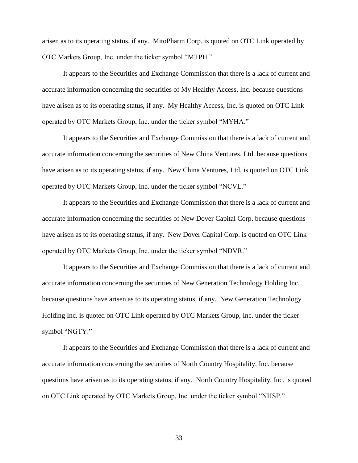arisen as to its operating status, if any. MitoPharm Corp. is quoted on OTC Link operated by OTC Markets Group, Inc. under the ticker symbol "MTPH."

It appears to the Securities and Exchange Commission that there is a lack of current and accurate information concerning the securities of My Healthy Access, Inc. because questions have arisen as to its operating status, if any. My Healthy Access, Inc. is quoted on OTC Link operated by OTC Markets Group, Inc. under the ticker symbol "MYHA."

It appears to the Securities and Exchange Commission that there is a lack of current and accurate information concerning the securities of New China Ventures, Ltd. because questions have arisen as to its operating status, if any. New China Ventures, Ltd. is quoted on OTC Link operated by OTC Markets Group, Inc. under the ticker symbol "NCVL."

It appears to the Securities and Exchange Commission that there is a lack of current and accurate information concerning the securities of New Dover Capital Corp. because questions have arisen as to its operating status, if any. New Dover Capital Corp. is quoted on OTC Link operated by OTC Markets Group, Inc. under the ticker symbol "NDVR."

It appears to the Securities and Exchange Commission that there is a lack of current and accurate information concerning the securities of New Generation Technology Holding Inc. because questions have arisen as to its operating status, if any. New Generation Technology Holding Inc. is quoted on OTC Link operated by OTC Markets Group, Inc. under the ticker symbol "NGTY."

It appears to the Securities and Exchange Commission that there is a lack of current and accurate information concerning the securities of North Country Hospitality, Inc. because questions have arisen as to its operating status, if any. North Country Hospitality, Inc. is quoted on OTC Link operated by OTC Markets Group, Inc. under the ticker symbol "NHSP."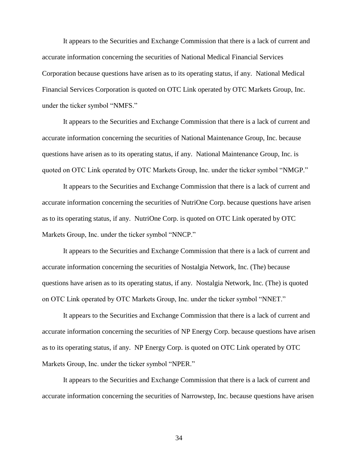It appears to the Securities and Exchange Commission that there is a lack of current and accurate information concerning the securities of National Medical Financial Services Corporation because questions have arisen as to its operating status, if any. National Medical Financial Services Corporation is quoted on OTC Link operated by OTC Markets Group, Inc. under the ticker symbol "NMFS."

It appears to the Securities and Exchange Commission that there is a lack of current and accurate information concerning the securities of National Maintenance Group, Inc. because questions have arisen as to its operating status, if any. National Maintenance Group, Inc. is quoted on OTC Link operated by OTC Markets Group, Inc. under the ticker symbol "NMGP."

It appears to the Securities and Exchange Commission that there is a lack of current and accurate information concerning the securities of NutriOne Corp. because questions have arisen as to its operating status, if any. NutriOne Corp. is quoted on OTC Link operated by OTC Markets Group, Inc. under the ticker symbol "NNCP."

It appears to the Securities and Exchange Commission that there is a lack of current and accurate information concerning the securities of Nostalgia Network, Inc. (The) because questions have arisen as to its operating status, if any. Nostalgia Network, Inc. (The) is quoted on OTC Link operated by OTC Markets Group, Inc. under the ticker symbol "NNET."

It appears to the Securities and Exchange Commission that there is a lack of current and accurate information concerning the securities of NP Energy Corp. because questions have arisen as to its operating status, if any. NP Energy Corp. is quoted on OTC Link operated by OTC Markets Group, Inc. under the ticker symbol "NPER."

It appears to the Securities and Exchange Commission that there is a lack of current and accurate information concerning the securities of Narrowstep, Inc. because questions have arisen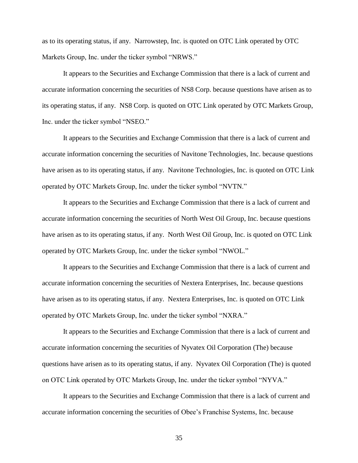as to its operating status, if any. Narrowstep, Inc. is quoted on OTC Link operated by OTC Markets Group, Inc. under the ticker symbol "NRWS."

It appears to the Securities and Exchange Commission that there is a lack of current and accurate information concerning the securities of NS8 Corp. because questions have arisen as to its operating status, if any. NS8 Corp. is quoted on OTC Link operated by OTC Markets Group, Inc. under the ticker symbol "NSEO."

It appears to the Securities and Exchange Commission that there is a lack of current and accurate information concerning the securities of Navitone Technologies, Inc. because questions have arisen as to its operating status, if any. Navitone Technologies, Inc. is quoted on OTC Link operated by OTC Markets Group, Inc. under the ticker symbol "NVTN."

It appears to the Securities and Exchange Commission that there is a lack of current and accurate information concerning the securities of North West Oil Group, Inc. because questions have arisen as to its operating status, if any. North West Oil Group, Inc. is quoted on OTC Link operated by OTC Markets Group, Inc. under the ticker symbol "NWOL."

It appears to the Securities and Exchange Commission that there is a lack of current and accurate information concerning the securities of Nextera Enterprises, Inc. because questions have arisen as to its operating status, if any. Nextera Enterprises, Inc. is quoted on OTC Link operated by OTC Markets Group, Inc. under the ticker symbol "NXRA."

It appears to the Securities and Exchange Commission that there is a lack of current and accurate information concerning the securities of Nyvatex Oil Corporation (The) because questions have arisen as to its operating status, if any. Nyvatex Oil Corporation (The) is quoted on OTC Link operated by OTC Markets Group, Inc. under the ticker symbol "NYVA."

It appears to the Securities and Exchange Commission that there is a lack of current and accurate information concerning the securities of Obee's Franchise Systems, Inc. because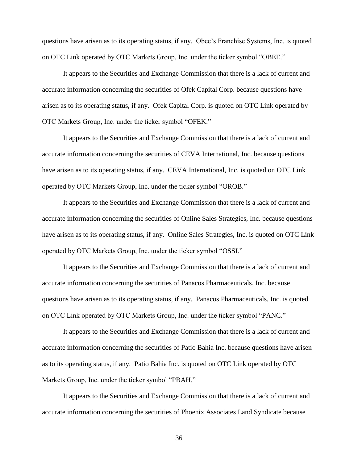questions have arisen as to its operating status, if any. Obee's Franchise Systems, Inc. is quoted on OTC Link operated by OTC Markets Group, Inc. under the ticker symbol "OBEE."

It appears to the Securities and Exchange Commission that there is a lack of current and accurate information concerning the securities of Ofek Capital Corp. because questions have arisen as to its operating status, if any. Ofek Capital Corp. is quoted on OTC Link operated by OTC Markets Group, Inc. under the ticker symbol "OFEK."

It appears to the Securities and Exchange Commission that there is a lack of current and accurate information concerning the securities of CEVA International, Inc. because questions have arisen as to its operating status, if any. CEVA International, Inc. is quoted on OTC Link operated by OTC Markets Group, Inc. under the ticker symbol "OROB."

It appears to the Securities and Exchange Commission that there is a lack of current and accurate information concerning the securities of Online Sales Strategies, Inc. because questions have arisen as to its operating status, if any. Online Sales Strategies, Inc. is quoted on OTC Link operated by OTC Markets Group, Inc. under the ticker symbol "OSSI."

It appears to the Securities and Exchange Commission that there is a lack of current and accurate information concerning the securities of Panacos Pharmaceuticals, Inc. because questions have arisen as to its operating status, if any. Panacos Pharmaceuticals, Inc. is quoted on OTC Link operated by OTC Markets Group, Inc. under the ticker symbol "PANC."

It appears to the Securities and Exchange Commission that there is a lack of current and accurate information concerning the securities of Patio Bahia Inc. because questions have arisen as to its operating status, if any. Patio Bahia Inc. is quoted on OTC Link operated by OTC Markets Group, Inc. under the ticker symbol "PBAH."

It appears to the Securities and Exchange Commission that there is a lack of current and accurate information concerning the securities of Phoenix Associates Land Syndicate because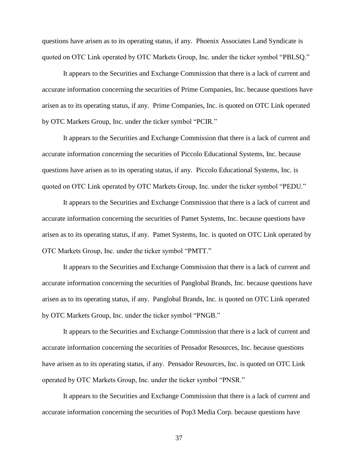questions have arisen as to its operating status, if any. Phoenix Associates Land Syndicate is quoted on OTC Link operated by OTC Markets Group, Inc. under the ticker symbol "PBLSQ."

It appears to the Securities and Exchange Commission that there is a lack of current and accurate information concerning the securities of Prime Companies, Inc. because questions have arisen as to its operating status, if any. Prime Companies, Inc. is quoted on OTC Link operated by OTC Markets Group, Inc. under the ticker symbol "PCIR."

It appears to the Securities and Exchange Commission that there is a lack of current and accurate information concerning the securities of Piccolo Educational Systems, Inc. because questions have arisen as to its operating status, if any. Piccolo Educational Systems, Inc. is quoted on OTC Link operated by OTC Markets Group, Inc. under the ticker symbol "PEDU."

It appears to the Securities and Exchange Commission that there is a lack of current and accurate information concerning the securities of Pamet Systems, Inc. because questions have arisen as to its operating status, if any. Pamet Systems, Inc. is quoted on OTC Link operated by OTC Markets Group, Inc. under the ticker symbol "PMTT."

It appears to the Securities and Exchange Commission that there is a lack of current and accurate information concerning the securities of Panglobal Brands, Inc. because questions have arisen as to its operating status, if any. Panglobal Brands, Inc. is quoted on OTC Link operated by OTC Markets Group, Inc. under the ticker symbol "PNGB."

It appears to the Securities and Exchange Commission that there is a lack of current and accurate information concerning the securities of Pensador Resources, Inc. because questions have arisen as to its operating status, if any. Pensador Resources, Inc. is quoted on OTC Link operated by OTC Markets Group, Inc. under the ticker symbol "PNSR."

It appears to the Securities and Exchange Commission that there is a lack of current and accurate information concerning the securities of Pop3 Media Corp. because questions have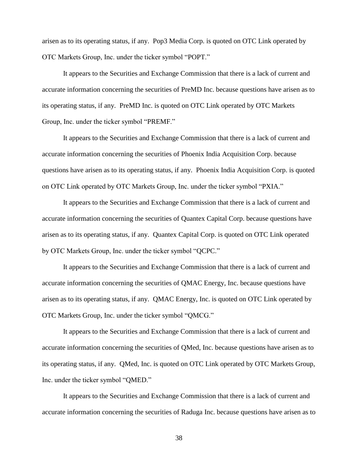arisen as to its operating status, if any. Pop3 Media Corp. is quoted on OTC Link operated by OTC Markets Group, Inc. under the ticker symbol "POPT."

It appears to the Securities and Exchange Commission that there is a lack of current and accurate information concerning the securities of PreMD Inc. because questions have arisen as to its operating status, if any. PreMD Inc. is quoted on OTC Link operated by OTC Markets Group, Inc. under the ticker symbol "PREMF."

It appears to the Securities and Exchange Commission that there is a lack of current and accurate information concerning the securities of Phoenix India Acquisition Corp. because questions have arisen as to its operating status, if any. Phoenix India Acquisition Corp. is quoted on OTC Link operated by OTC Markets Group, Inc. under the ticker symbol "PXIA."

It appears to the Securities and Exchange Commission that there is a lack of current and accurate information concerning the securities of Quantex Capital Corp. because questions have arisen as to its operating status, if any. Quantex Capital Corp. is quoted on OTC Link operated by OTC Markets Group, Inc. under the ticker symbol "QCPC."

It appears to the Securities and Exchange Commission that there is a lack of current and accurate information concerning the securities of QMAC Energy, Inc. because questions have arisen as to its operating status, if any. QMAC Energy, Inc. is quoted on OTC Link operated by OTC Markets Group, Inc. under the ticker symbol "QMCG."

It appears to the Securities and Exchange Commission that there is a lack of current and accurate information concerning the securities of QMed, Inc. because questions have arisen as to its operating status, if any. QMed, Inc. is quoted on OTC Link operated by OTC Markets Group, Inc. under the ticker symbol "QMED."

It appears to the Securities and Exchange Commission that there is a lack of current and accurate information concerning the securities of Raduga Inc. because questions have arisen as to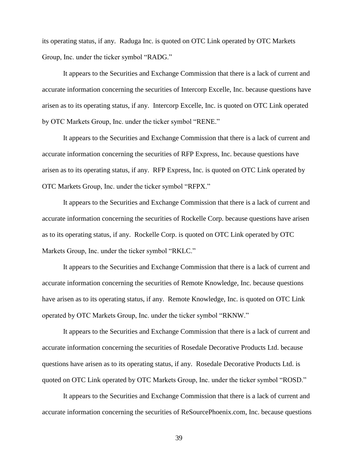its operating status, if any. Raduga Inc. is quoted on OTC Link operated by OTC Markets Group, Inc. under the ticker symbol "RADG."

It appears to the Securities and Exchange Commission that there is a lack of current and accurate information concerning the securities of Intercorp Excelle, Inc. because questions have arisen as to its operating status, if any. Intercorp Excelle, Inc. is quoted on OTC Link operated by OTC Markets Group, Inc. under the ticker symbol "RENE."

It appears to the Securities and Exchange Commission that there is a lack of current and accurate information concerning the securities of RFP Express, Inc. because questions have arisen as to its operating status, if any. RFP Express, Inc. is quoted on OTC Link operated by OTC Markets Group, Inc. under the ticker symbol "RFPX."

It appears to the Securities and Exchange Commission that there is a lack of current and accurate information concerning the securities of Rockelle Corp. because questions have arisen as to its operating status, if any. Rockelle Corp. is quoted on OTC Link operated by OTC Markets Group, Inc. under the ticker symbol "RKLC."

It appears to the Securities and Exchange Commission that there is a lack of current and accurate information concerning the securities of Remote Knowledge, Inc. because questions have arisen as to its operating status, if any. Remote Knowledge, Inc. is quoted on OTC Link operated by OTC Markets Group, Inc. under the ticker symbol "RKNW."

It appears to the Securities and Exchange Commission that there is a lack of current and accurate information concerning the securities of Rosedale Decorative Products Ltd. because questions have arisen as to its operating status, if any. Rosedale Decorative Products Ltd. is quoted on OTC Link operated by OTC Markets Group, Inc. under the ticker symbol "ROSD."

It appears to the Securities and Exchange Commission that there is a lack of current and accurate information concerning the securities of ReSourcePhoenix.com, Inc. because questions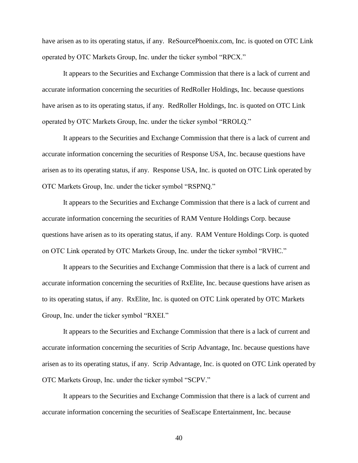have arisen as to its operating status, if any. ReSourcePhoenix.com, Inc. is quoted on OTC Link operated by OTC Markets Group, Inc. under the ticker symbol "RPCX."

It appears to the Securities and Exchange Commission that there is a lack of current and accurate information concerning the securities of RedRoller Holdings, Inc. because questions have arisen as to its operating status, if any. RedRoller Holdings, Inc. is quoted on OTC Link operated by OTC Markets Group, Inc. under the ticker symbol "RROLQ."

It appears to the Securities and Exchange Commission that there is a lack of current and accurate information concerning the securities of Response USA, Inc. because questions have arisen as to its operating status, if any. Response USA, Inc. is quoted on OTC Link operated by OTC Markets Group, Inc. under the ticker symbol "RSPNQ."

It appears to the Securities and Exchange Commission that there is a lack of current and accurate information concerning the securities of RAM Venture Holdings Corp. because questions have arisen as to its operating status, if any. RAM Venture Holdings Corp. is quoted on OTC Link operated by OTC Markets Group, Inc. under the ticker symbol "RVHC."

It appears to the Securities and Exchange Commission that there is a lack of current and accurate information concerning the securities of RxElite, Inc. because questions have arisen as to its operating status, if any. RxElite, Inc. is quoted on OTC Link operated by OTC Markets Group, Inc. under the ticker symbol "RXEI."

It appears to the Securities and Exchange Commission that there is a lack of current and accurate information concerning the securities of Scrip Advantage, Inc. because questions have arisen as to its operating status, if any. Scrip Advantage, Inc. is quoted on OTC Link operated by OTC Markets Group, Inc. under the ticker symbol "SCPV."

It appears to the Securities and Exchange Commission that there is a lack of current and accurate information concerning the securities of SeaEscape Entertainment, Inc. because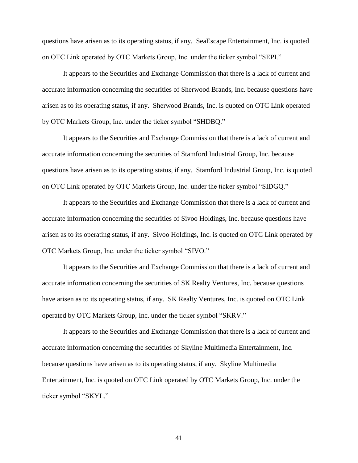questions have arisen as to its operating status, if any. SeaEscape Entertainment, Inc. is quoted on OTC Link operated by OTC Markets Group, Inc. under the ticker symbol "SEPI."

It appears to the Securities and Exchange Commission that there is a lack of current and accurate information concerning the securities of Sherwood Brands, Inc. because questions have arisen as to its operating status, if any. Sherwood Brands, Inc. is quoted on OTC Link operated by OTC Markets Group, Inc. under the ticker symbol "SHDBQ."

It appears to the Securities and Exchange Commission that there is a lack of current and accurate information concerning the securities of Stamford Industrial Group, Inc. because questions have arisen as to its operating status, if any. Stamford Industrial Group, Inc. is quoted on OTC Link operated by OTC Markets Group, Inc. under the ticker symbol "SIDGQ."

It appears to the Securities and Exchange Commission that there is a lack of current and accurate information concerning the securities of Sivoo Holdings, Inc. because questions have arisen as to its operating status, if any. Sivoo Holdings, Inc. is quoted on OTC Link operated by OTC Markets Group, Inc. under the ticker symbol "SIVO."

It appears to the Securities and Exchange Commission that there is a lack of current and accurate information concerning the securities of SK Realty Ventures, Inc. because questions have arisen as to its operating status, if any. SK Realty Ventures, Inc. is quoted on OTC Link operated by OTC Markets Group, Inc. under the ticker symbol "SKRV."

It appears to the Securities and Exchange Commission that there is a lack of current and accurate information concerning the securities of Skyline Multimedia Entertainment, Inc. because questions have arisen as to its operating status, if any. Skyline Multimedia Entertainment, Inc. is quoted on OTC Link operated by OTC Markets Group, Inc. under the ticker symbol "SKYL."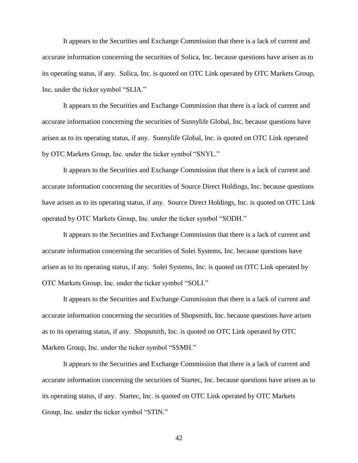It appears to the Securities and Exchange Commission that there is a lack of current and accurate information concerning the securities of Solica, Inc. because questions have arisen as to its operating status, if any. Solica, Inc. is quoted on OTC Link operated by OTC Markets Group, Inc. under the ticker symbol "SLIA."

It appears to the Securities and Exchange Commission that there is a lack of current and accurate information concerning the securities of Sunnylife Global, Inc. because questions have arisen as to its operating status, if any. Sunnylife Global, Inc. is quoted on OTC Link operated by OTC Markets Group, Inc. under the ticker symbol "SNYL."

It appears to the Securities and Exchange Commission that there is a lack of current and accurate information concerning the securities of Source Direct Holdings, Inc. because questions have arisen as to its operating status, if any. Source Direct Holdings, Inc. is quoted on OTC Link operated by OTC Markets Group, Inc. under the ticker symbol "SODH."

It appears to the Securities and Exchange Commission that there is a lack of current and accurate information concerning the securities of Solei Systems, Inc. because questions have arisen as to its operating status, if any. Solei Systems, Inc. is quoted on OTC Link operated by OTC Markets Group, Inc. under the ticker symbol "SOLI."

It appears to the Securities and Exchange Commission that there is a lack of current and accurate information concerning the securities of Shopsmith, Inc. because questions have arisen as to its operating status, if any. Shopsmith, Inc. is quoted on OTC Link operated by OTC Markets Group, Inc. under the ticker symbol "SSMH."

It appears to the Securities and Exchange Commission that there is a lack of current and accurate information concerning the securities of Startec, Inc. because questions have arisen as to its operating status, if any. Startec, Inc. is quoted on OTC Link operated by OTC Markets Group, Inc. under the ticker symbol "STIN."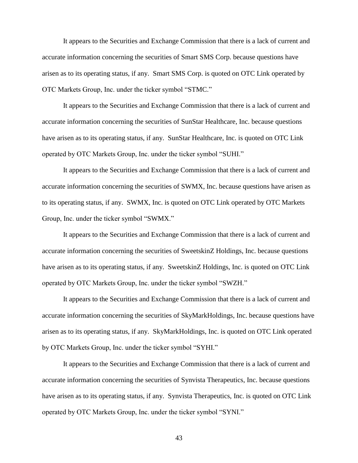It appears to the Securities and Exchange Commission that there is a lack of current and accurate information concerning the securities of Smart SMS Corp. because questions have arisen as to its operating status, if any. Smart SMS Corp. is quoted on OTC Link operated by OTC Markets Group, Inc. under the ticker symbol "STMC."

It appears to the Securities and Exchange Commission that there is a lack of current and accurate information concerning the securities of SunStar Healthcare, Inc. because questions have arisen as to its operating status, if any. SunStar Healthcare, Inc. is quoted on OTC Link operated by OTC Markets Group, Inc. under the ticker symbol "SUHI."

It appears to the Securities and Exchange Commission that there is a lack of current and accurate information concerning the securities of SWMX, Inc. because questions have arisen as to its operating status, if any. SWMX, Inc. is quoted on OTC Link operated by OTC Markets Group, Inc. under the ticker symbol "SWMX."

It appears to the Securities and Exchange Commission that there is a lack of current and accurate information concerning the securities of SweetskinZ Holdings, Inc. because questions have arisen as to its operating status, if any. SweetskinZ Holdings, Inc. is quoted on OTC Link operated by OTC Markets Group, Inc. under the ticker symbol "SWZH."

It appears to the Securities and Exchange Commission that there is a lack of current and accurate information concerning the securities of SkyMarkHoldings, Inc. because questions have arisen as to its operating status, if any. SkyMarkHoldings, Inc. is quoted on OTC Link operated by OTC Markets Group, Inc. under the ticker symbol "SYHI."

It appears to the Securities and Exchange Commission that there is a lack of current and accurate information concerning the securities of Synvista Therapeutics, Inc. because questions have arisen as to its operating status, if any. Synvista Therapeutics, Inc. is quoted on OTC Link operated by OTC Markets Group, Inc. under the ticker symbol "SYNI."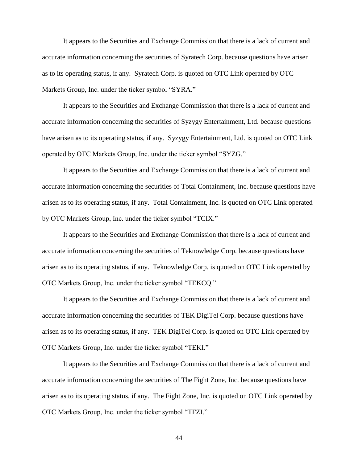It appears to the Securities and Exchange Commission that there is a lack of current and accurate information concerning the securities of Syratech Corp. because questions have arisen as to its operating status, if any. Syratech Corp. is quoted on OTC Link operated by OTC Markets Group, Inc. under the ticker symbol "SYRA."

It appears to the Securities and Exchange Commission that there is a lack of current and accurate information concerning the securities of Syzygy Entertainment, Ltd. because questions have arisen as to its operating status, if any. Syzygy Entertainment, Ltd. is quoted on OTC Link operated by OTC Markets Group, Inc. under the ticker symbol "SYZG."

It appears to the Securities and Exchange Commission that there is a lack of current and accurate information concerning the securities of Total Containment, Inc. because questions have arisen as to its operating status, if any. Total Containment, Inc. is quoted on OTC Link operated by OTC Markets Group, Inc. under the ticker symbol "TCIX."

It appears to the Securities and Exchange Commission that there is a lack of current and accurate information concerning the securities of Teknowledge Corp. because questions have arisen as to its operating status, if any. Teknowledge Corp. is quoted on OTC Link operated by OTC Markets Group, Inc. under the ticker symbol "TEKCQ."

It appears to the Securities and Exchange Commission that there is a lack of current and accurate information concerning the securities of TEK DigiTel Corp. because questions have arisen as to its operating status, if any. TEK DigiTel Corp. is quoted on OTC Link operated by OTC Markets Group, Inc. under the ticker symbol "TEKI."

It appears to the Securities and Exchange Commission that there is a lack of current and accurate information concerning the securities of The Fight Zone, Inc. because questions have arisen as to its operating status, if any. The Fight Zone, Inc. is quoted on OTC Link operated by OTC Markets Group, Inc. under the ticker symbol "TFZI."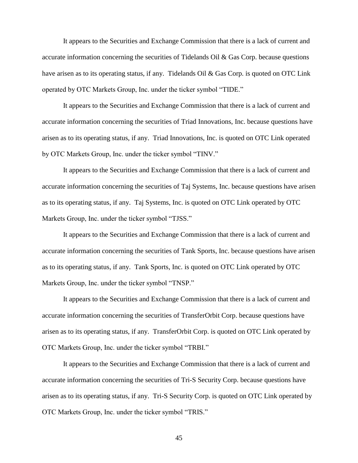It appears to the Securities and Exchange Commission that there is a lack of current and accurate information concerning the securities of Tidelands Oil & Gas Corp. because questions have arisen as to its operating status, if any. Tidelands Oil & Gas Corp. is quoted on OTC Link operated by OTC Markets Group, Inc. under the ticker symbol "TIDE."

It appears to the Securities and Exchange Commission that there is a lack of current and accurate information concerning the securities of Triad Innovations, Inc. because questions have arisen as to its operating status, if any. Triad Innovations, Inc. is quoted on OTC Link operated by OTC Markets Group, Inc. under the ticker symbol "TINV."

It appears to the Securities and Exchange Commission that there is a lack of current and accurate information concerning the securities of Taj Systems, Inc. because questions have arisen as to its operating status, if any. Taj Systems, Inc. is quoted on OTC Link operated by OTC Markets Group, Inc. under the ticker symbol "TJSS."

It appears to the Securities and Exchange Commission that there is a lack of current and accurate information concerning the securities of Tank Sports, Inc. because questions have arisen as to its operating status, if any. Tank Sports, Inc. is quoted on OTC Link operated by OTC Markets Group, Inc. under the ticker symbol "TNSP."

It appears to the Securities and Exchange Commission that there is a lack of current and accurate information concerning the securities of TransferOrbit Corp. because questions have arisen as to its operating status, if any. TransferOrbit Corp. is quoted on OTC Link operated by OTC Markets Group, Inc. under the ticker symbol "TRBI."

It appears to the Securities and Exchange Commission that there is a lack of current and accurate information concerning the securities of Tri-S Security Corp. because questions have arisen as to its operating status, if any. Tri-S Security Corp. is quoted on OTC Link operated by OTC Markets Group, Inc. under the ticker symbol "TRIS."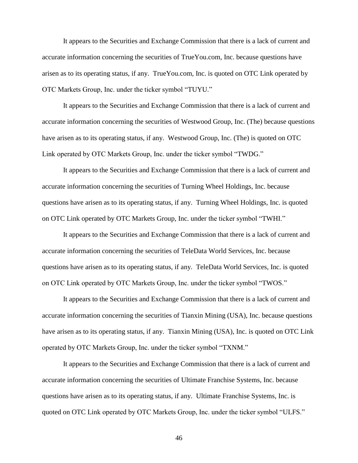It appears to the Securities and Exchange Commission that there is a lack of current and accurate information concerning the securities of TrueYou.com, Inc. because questions have arisen as to its operating status, if any. TrueYou.com, Inc. is quoted on OTC Link operated by OTC Markets Group, Inc. under the ticker symbol "TUYU."

It appears to the Securities and Exchange Commission that there is a lack of current and accurate information concerning the securities of Westwood Group, Inc. (The) because questions have arisen as to its operating status, if any. Westwood Group, Inc. (The) is quoted on OTC Link operated by OTC Markets Group, Inc. under the ticker symbol "TWDG."

It appears to the Securities and Exchange Commission that there is a lack of current and accurate information concerning the securities of Turning Wheel Holdings, Inc. because questions have arisen as to its operating status, if any. Turning Wheel Holdings, Inc. is quoted on OTC Link operated by OTC Markets Group, Inc. under the ticker symbol "TWHI."

It appears to the Securities and Exchange Commission that there is a lack of current and accurate information concerning the securities of TeleData World Services, Inc. because questions have arisen as to its operating status, if any. TeleData World Services, Inc. is quoted on OTC Link operated by OTC Markets Group, Inc. under the ticker symbol "TWOS."

It appears to the Securities and Exchange Commission that there is a lack of current and accurate information concerning the securities of Tianxin Mining (USA), Inc. because questions have arisen as to its operating status, if any. Tianxin Mining (USA), Inc. is quoted on OTC Link operated by OTC Markets Group, Inc. under the ticker symbol "TXNM."

It appears to the Securities and Exchange Commission that there is a lack of current and accurate information concerning the securities of Ultimate Franchise Systems, Inc. because questions have arisen as to its operating status, if any. Ultimate Franchise Systems, Inc. is quoted on OTC Link operated by OTC Markets Group, Inc. under the ticker symbol "ULFS."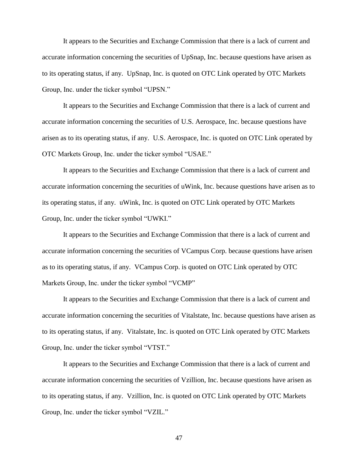It appears to the Securities and Exchange Commission that there is a lack of current and accurate information concerning the securities of UpSnap, Inc. because questions have arisen as to its operating status, if any. UpSnap, Inc. is quoted on OTC Link operated by OTC Markets Group, Inc. under the ticker symbol "UPSN."

It appears to the Securities and Exchange Commission that there is a lack of current and accurate information concerning the securities of U.S. Aerospace, Inc. because questions have arisen as to its operating status, if any. U.S. Aerospace, Inc. is quoted on OTC Link operated by OTC Markets Group, Inc. under the ticker symbol "USAE."

It appears to the Securities and Exchange Commission that there is a lack of current and accurate information concerning the securities of uWink, Inc. because questions have arisen as to its operating status, if any. uWink, Inc. is quoted on OTC Link operated by OTC Markets Group, Inc. under the ticker symbol "UWKI."

It appears to the Securities and Exchange Commission that there is a lack of current and accurate information concerning the securities of VCampus Corp. because questions have arisen as to its operating status, if any. VCampus Corp. is quoted on OTC Link operated by OTC Markets Group, Inc. under the ticker symbol "VCMP"

It appears to the Securities and Exchange Commission that there is a lack of current and accurate information concerning the securities of Vitalstate, Inc. because questions have arisen as to its operating status, if any. Vitalstate, Inc. is quoted on OTC Link operated by OTC Markets Group, Inc. under the ticker symbol "VTST."

It appears to the Securities and Exchange Commission that there is a lack of current and accurate information concerning the securities of Vzillion, Inc. because questions have arisen as to its operating status, if any. Vzillion, Inc. is quoted on OTC Link operated by OTC Markets Group, Inc. under the ticker symbol "VZIL."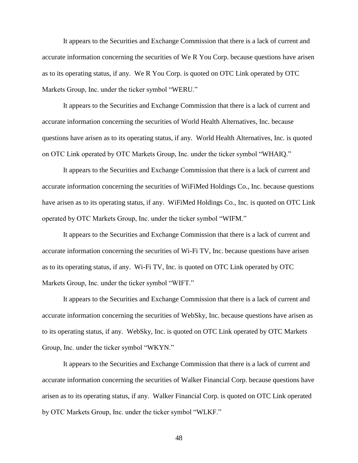It appears to the Securities and Exchange Commission that there is a lack of current and accurate information concerning the securities of We R You Corp. because questions have arisen as to its operating status, if any. We R You Corp. is quoted on OTC Link operated by OTC Markets Group, Inc. under the ticker symbol "WERU."

It appears to the Securities and Exchange Commission that there is a lack of current and accurate information concerning the securities of World Health Alternatives, Inc. because questions have arisen as to its operating status, if any. World Health Alternatives, Inc. is quoted on OTC Link operated by OTC Markets Group, Inc. under the ticker symbol "WHAIQ."

It appears to the Securities and Exchange Commission that there is a lack of current and accurate information concerning the securities of WiFiMed Holdings Co., Inc. because questions have arisen as to its operating status, if any. WiFiMed Holdings Co., Inc. is quoted on OTC Link operated by OTC Markets Group, Inc. under the ticker symbol "WIFM."

It appears to the Securities and Exchange Commission that there is a lack of current and accurate information concerning the securities of Wi-Fi TV, Inc. because questions have arisen as to its operating status, if any. Wi-Fi TV, Inc. is quoted on OTC Link operated by OTC Markets Group, Inc. under the ticker symbol "WIFT."

It appears to the Securities and Exchange Commission that there is a lack of current and accurate information concerning the securities of WebSky, Inc. because questions have arisen as to its operating status, if any. WebSky, Inc. is quoted on OTC Link operated by OTC Markets Group, Inc. under the ticker symbol "WKYN."

It appears to the Securities and Exchange Commission that there is a lack of current and accurate information concerning the securities of Walker Financial Corp. because questions have arisen as to its operating status, if any. Walker Financial Corp. is quoted on OTC Link operated by OTC Markets Group, Inc. under the ticker symbol "WLKF."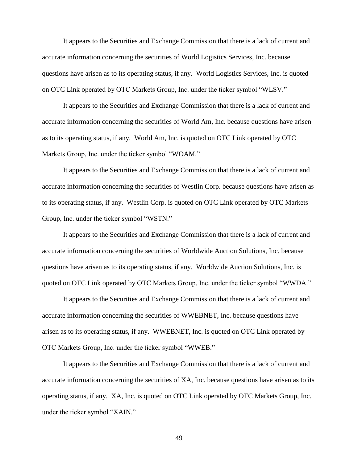It appears to the Securities and Exchange Commission that there is a lack of current and accurate information concerning the securities of World Logistics Services, Inc. because questions have arisen as to its operating status, if any. World Logistics Services, Inc. is quoted on OTC Link operated by OTC Markets Group, Inc. under the ticker symbol "WLSV."

It appears to the Securities and Exchange Commission that there is a lack of current and accurate information concerning the securities of World Am, Inc. because questions have arisen as to its operating status, if any. World Am, Inc. is quoted on OTC Link operated by OTC Markets Group, Inc. under the ticker symbol "WOAM."

It appears to the Securities and Exchange Commission that there is a lack of current and accurate information concerning the securities of Westlin Corp. because questions have arisen as to its operating status, if any. Westlin Corp. is quoted on OTC Link operated by OTC Markets Group, Inc. under the ticker symbol "WSTN."

It appears to the Securities and Exchange Commission that there is a lack of current and accurate information concerning the securities of Worldwide Auction Solutions, Inc. because questions have arisen as to its operating status, if any. Worldwide Auction Solutions, Inc. is quoted on OTC Link operated by OTC Markets Group, Inc. under the ticker symbol "WWDA."

It appears to the Securities and Exchange Commission that there is a lack of current and accurate information concerning the securities of WWEBNET, Inc. because questions have arisen as to its operating status, if any. WWEBNET, Inc. is quoted on OTC Link operated by OTC Markets Group, Inc. under the ticker symbol "WWEB."

It appears to the Securities and Exchange Commission that there is a lack of current and accurate information concerning the securities of XA, Inc. because questions have arisen as to its operating status, if any. XA, Inc. is quoted on OTC Link operated by OTC Markets Group, Inc. under the ticker symbol "XAIN."